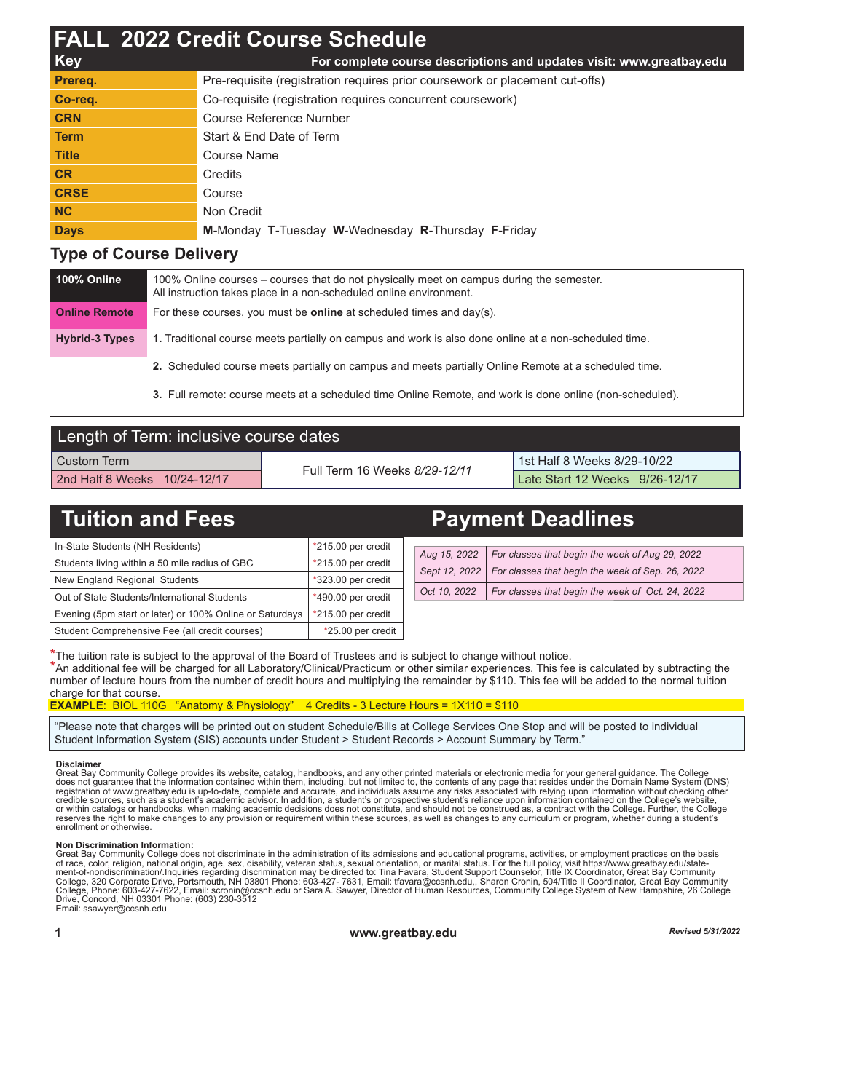|              | <b>FALL 2022 Credit Course Schedule</b>                                      |
|--------------|------------------------------------------------------------------------------|
| <b>Key</b>   | For complete course descriptions and updates visit: www.greatbay.edu         |
| Prereg.      | Pre-requisite (registration requires prior coursework or placement cut-offs) |
| Co-req.      | Co-requisite (registration requires concurrent coursework)                   |
| <b>CRN</b>   | Course Reference Number                                                      |
| <b>Term</b>  | Start & End Date of Term                                                     |
| <b>Title</b> | Course Name                                                                  |
| <b>CR</b>    | <b>Credits</b>                                                               |
| <b>CRSE</b>  | Course                                                                       |
| <b>NC</b>    | Non Credit                                                                   |
| <b>Days</b>  | M-Monday T-Tuesday W-Wednesday R-Thursday F-Friday                           |

## **Type of Course Delivery**

| 100% Online           | 100% Online courses – courses that do not physically meet on campus during the semester.<br>All instruction takes place in a non-scheduled online environment. |
|-----------------------|----------------------------------------------------------------------------------------------------------------------------------------------------------------|
| <b>Online Remote</b>  | For these courses, you must be <b>online</b> at scheduled times and $day(s)$ .                                                                                 |
| <b>Hybrid-3 Types</b> | 1. Traditional course meets partially on campus and work is also done online at a non-scheduled time.                                                          |
|                       | 2. Scheduled course meets partially on campus and meets partially Online Remote at a scheduled time.                                                           |

**3.** Full remote: course meets at a scheduled time Online Remote, and work is done online (non-scheduled).

| Length of Term: inclusive course dates |                               |                                |  |  |  |  |  |  |  |  |
|----------------------------------------|-------------------------------|--------------------------------|--|--|--|--|--|--|--|--|
| l Custom Term                          | Full Term 16 Weeks 8/29-12/11 | 1st Half 8 Weeks 8/29-10/22    |  |  |  |  |  |  |  |  |
| 2nd Half 8 Weeks 10/24-12/17           |                               | Late Start 12 Weeks 9/26-12/17 |  |  |  |  |  |  |  |  |

| <b>Tuition and Fees</b>                                  |                      | <b>Payment Deadlines</b> |               |                                                  |  |  |  |  |
|----------------------------------------------------------|----------------------|--------------------------|---------------|--------------------------------------------------|--|--|--|--|
| In-State Students (NH Residents)                         | $*215.00$ per credit |                          |               |                                                  |  |  |  |  |
| Students living within a 50 mile radius of GBC           | *215.00 per credit   |                          | Aug 15, 2022  | For classes that begin the week of Aug 29, 2022  |  |  |  |  |
|                                                          |                      |                          | Sept 12, 2022 | For classes that begin the week of Sep. 26, 2022 |  |  |  |  |
| New England Regional Students                            | *323.00 per credit   |                          |               |                                                  |  |  |  |  |
| Out of State Students/International Students             | *490.00 per credit   |                          | Oct 10, 2022  | For classes that begin the week of Oct. 24, 2022 |  |  |  |  |
| Evening (5pm start or later) or 100% Online or Saturdays | *215.00 per credit   |                          |               |                                                  |  |  |  |  |
| Student Comprehensive Fee (all credit courses)           | *25.00 per credit    |                          |               |                                                  |  |  |  |  |

\*The tuition rate is subject to the approval of the Board of Trustees and is subject to change without notice.

\*An additional fee will be charged for all Laboratory/Clinical/Practicum or other similar experiences. This fee is calculated by subtracting the number of lecture hours from the number of credit hours and multiplying the remainder by \$110. This fee will be added to the normal tuition charge for that course.

## **EXAMPLE**: BIOL 110G "Anatomy & Physiology" 4 Credits - 3 Lecture Hours = 1X110 = \$110

"Please note that charges will be printed out on student Schedule/Bills at College Services One Stop and will be posted to individual Student Information System (SIS) accounts under Student > Student Records > Account Summary by Term."

## **Disclaimer**

Great Bay Community College provides its website, catalog, handbooks, and any other printed materials or electronic media for your general guidance. The College<br>does not guarantee that the information contained within them or within catalogs or handbooks, when making academic decisions does not constitute, and should not be construed as, a contract with the College. Further, the College<br>reserves the right to make changes to any provision or

## **Non Discrimination Information:**

Great Bay Community College does not discriminate in the administration of its admissions and educational programs, activities, or employment practices on the basis<br>of race, color, religion, national origin, age, sex, disa Email: ssawyer@ccsnh.edu

**1 www.greatbay.edu** *Revised 5/31/2022*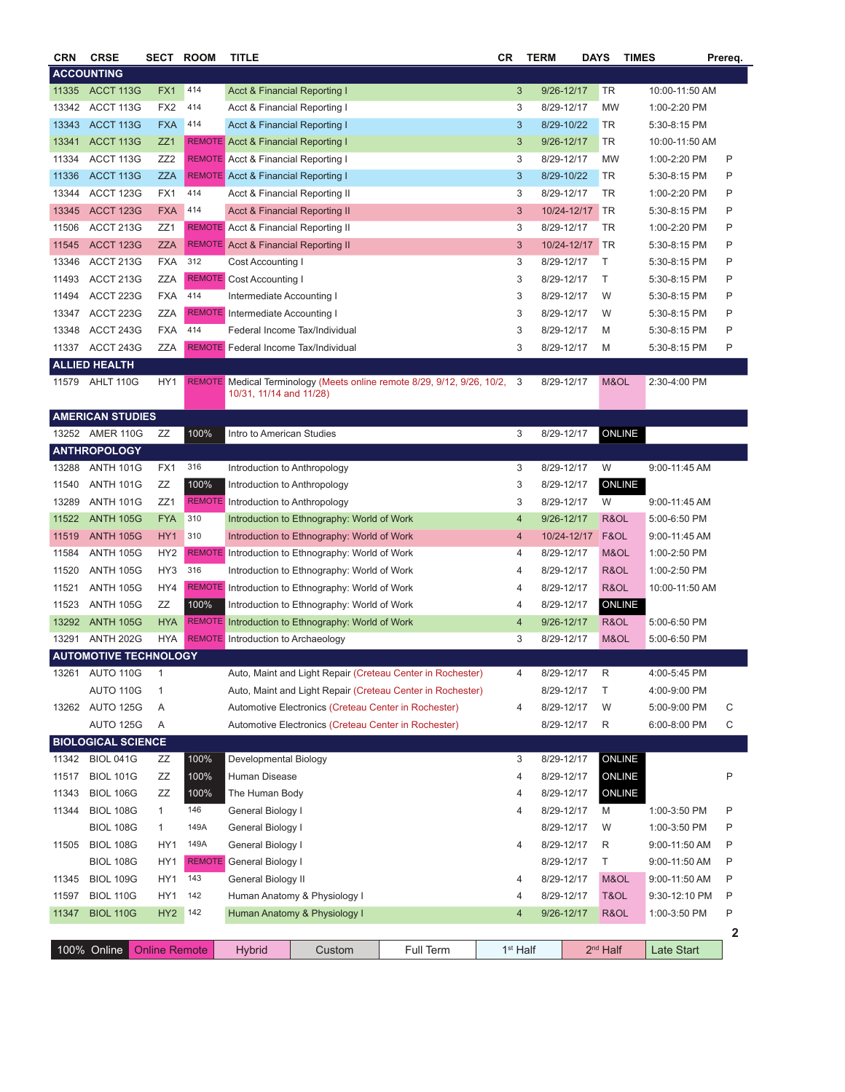| <b>CRN</b> | <b>CRSE</b>                  | SECT                 | <b>ROOM</b> | TITLE                                       |                                                      |                                                                           | СR |                      | <b>TERM</b> | <b>DAYS</b> | <b>TIMES</b> |                | Prereq. |
|------------|------------------------------|----------------------|-------------|---------------------------------------------|------------------------------------------------------|---------------------------------------------------------------------------|----|----------------------|-------------|-------------|--------------|----------------|---------|
|            | <b>ACCOUNTING</b>            |                      |             |                                             |                                                      |                                                                           |    |                      |             |             |              |                |         |
| 11335      | ACCT 113G                    | FX1                  | 414         | Acct & Financial Reporting I                |                                                      |                                                                           |    | 3                    | 9/26-12/17  | <b>TR</b>   |              | 10:00-11:50 AM |         |
| 13342      | ACCT 113G                    | FX <sub>2</sub>      | 414         | Acct & Financial Reporting I                |                                                      |                                                                           |    | 3                    | 8/29-12/17  | <b>MW</b>   |              | 1:00-2:20 PM   |         |
| 13343      | ACCT 113G                    | <b>FXA</b>           | 414         | Acct & Financial Reporting I                |                                                      |                                                                           |    | 3                    | 8/29-10/22  | TR          |              | 5:30-8:15 PM   |         |
| 13341      | ACCT 113G                    | ZZ1                  |             | <b>REMOTE</b> Acct & Financial Reporting I  |                                                      |                                                                           |    | 3                    | 9/26-12/17  | TR          |              | 10:00-11:50 AM |         |
| 11334      | ACCT 113G                    | ZZ <sub>2</sub>      |             | <b>REMOTE</b> Acct & Financial Reporting I  |                                                      |                                                                           |    | 3                    | 8/29-12/17  | MW          |              | 1:00-2:20 PM   | Ρ       |
| 11336      | ACCT 113G                    | <b>ZZA</b>           |             | <b>REMOTE</b> Acct & Financial Reporting I  |                                                      |                                                                           |    | 3                    | 8/29-10/22  | TR          |              | 5:30-8:15 PM   | P       |
| 13344      | ACCT 123G                    | FX1                  | 414         | Acct & Financial Reporting II               |                                                      |                                                                           |    | 3                    | 8/29-12/17  | TR          |              | 1:00-2:20 PM   | P       |
| 13345      | <b>ACCT 123G</b>             | <b>FXA</b>           | 414         | <b>Acct &amp; Financial Reporting II</b>    |                                                      |                                                                           |    | 3                    | 10/24-12/17 | TR          |              | 5:30-8:15 PM   | Ρ       |
| 11506      | ACCT 213G                    | ZZ1                  |             | <b>REMOTE</b> Acct & Financial Reporting II |                                                      |                                                                           |    | 3                    | 8/29-12/17  | TR          |              | 1:00-2:20 PM   | Ρ       |
| 11545      | <b>ACCT 123G</b>             | <b>ZZA</b>           |             | <b>REMOTE</b> Acct & Financial Reporting II |                                                      |                                                                           |    | 3                    | 10/24-12/17 | TR          |              | 5:30-8:15 PM   | Ρ       |
| 13346      | ACCT 213G                    | <b>FXA</b>           | 312         | Cost Accounting I                           |                                                      |                                                                           |    | 3                    | 8/29-12/17  | Т           |              | 5:30-8:15 PM   | Ρ       |
| 11493      | ACCT 213G                    | ZZA                  |             | <b>REMOTE</b> Cost Accounting I             |                                                      |                                                                           |    | 3                    | 8/29-12/17  | Т           |              | 5:30-8:15 PM   | Ρ       |
| 11494      | ACCT 223G                    | <b>FXA</b>           | 414         | Intermediate Accounting I                   |                                                      |                                                                           |    | 3                    | 8/29-12/17  | W           |              | 5:30-8:15 PM   | P       |
| 13347      | ACCT 223G                    | ZZA                  |             | <b>REMOTE</b> Intermediate Accounting I     |                                                      |                                                                           |    | 3                    | 8/29-12/17  | W           |              | 5:30-8:15 PM   | P       |
| 13348      | ACCT 243G                    | <b>FXA</b>           | 414         |                                             | Federal Income Tax/Individual                        |                                                                           |    | 3                    | 8/29-12/17  | M           |              | 5:30-8:15 PM   | Ρ       |
| 11337      | ACCT 243G                    | ZZA                  |             | <b>REMOTE</b> Federal Income Tax/Individual |                                                      |                                                                           |    | 3                    | 8/29-12/17  | M           |              | 5:30-8:15 PM   | Ρ       |
|            | ALLIED HEALTH                |                      |             |                                             |                                                      |                                                                           |    |                      |             |             |              |                |         |
| 11579      | AHLT 110G                    | HY1                  |             |                                             |                                                      | REMOTE Medical Terminology (Meets online remote 8/29, 9/12, 9/26, 10/2, 3 |    |                      | 8/29-12/17  | M&OL        |              | 2:30-4:00 PM   |         |
|            |                              |                      |             | 10/31, 11/14 and 11/28)                     |                                                      |                                                                           |    |                      |             |             |              |                |         |
|            | <b>AMERICAN STUDIES</b>      |                      |             |                                             |                                                      |                                                                           |    |                      |             |             |              |                |         |
|            | 13252 AMER 110G              | ZZ                   | 100%        | Intro to American Studies                   |                                                      |                                                                           |    | 3                    | 8/29-12/17  |             | ONLINE       |                |         |
|            | <b>ANTHROPOLOGY</b>          |                      |             |                                             |                                                      |                                                                           |    |                      |             |             |              |                |         |
| 13288      | <b>ANTH 101G</b>             | FX1                  | 316         | Introduction to Anthropology                |                                                      |                                                                           |    | 3                    | 8/29-12/17  | W           |              | 9:00-11:45 AM  |         |
| 11540      | <b>ANTH 101G</b>             | ΖZ                   | 100%        |                                             | Introduction to Anthropology                         |                                                                           |    | 3                    | 8/29-12/17  |             | ONLINE       |                |         |
| 13289      | <b>ANTH 101G</b>             | ZZ1                  |             | <b>REMOTE</b> Introduction to Anthropology  |                                                      |                                                                           |    | 3                    | 8/29-12/17  | W           |              | 9:00-11:45 AM  |         |
| 11522      | <b>ANTH 105G</b>             | <b>FYA</b>           | 310         |                                             | Introduction to Ethnography: World of Work           |                                                                           |    | 4                    | 9/26-12/17  | R&OL        |              | 5:00-6:50 PM   |         |
| 11519      | <b>ANTH 105G</b>             | HY <sub>1</sub>      | 310         |                                             | Introduction to Ethnography: World of Work           |                                                                           |    | 4                    | 10/24-12/17 | F&OL        |              | 9:00-11:45 AM  |         |
| 11584      | <b>ANTH 105G</b>             | HY <sub>2</sub>      |             |                                             | REMOTE Introduction to Ethnography: World of Work    |                                                                           |    | 4                    | 8/29-12/17  | M&OL        |              | 1:00-2:50 PM   |         |
| 11520      | <b>ANTH 105G</b>             | HY <sub>3</sub>      | 316         |                                             | Introduction to Ethnography: World of Work           |                                                                           |    | 4                    | 8/29-12/17  | R&OL        |              | 1:00-2:50 PM   |         |
| 11521      | <b>ANTH 105G</b>             | HY4                  |             |                                             | REMOTE Introduction to Ethnography: World of Work    |                                                                           |    | 4                    | 8/29-12/17  | R&OL        |              | 10:00-11:50 AM |         |
| 11523      | <b>ANTH 105G</b>             | ZΖ                   | 100%        |                                             | Introduction to Ethnography: World of Work           |                                                                           |    | 4                    | 8/29-12/17  |             | ONLINE       |                |         |
| 13292      | <b>ANTH 105G</b>             | <b>HYA</b>           |             |                                             | REMOTE Introduction to Ethnography: World of Work    |                                                                           |    | 4                    | 9/26-12/17  | R&OL        |              | 5:00-6:50 PM   |         |
| 13291      | <b>ANTH 202G</b>             | <b>HYA</b>           |             | <b>REMOTE</b> Introduction to Archaeology   |                                                      |                                                                           |    | 3                    | 8/29-12/17  | M&OL        |              | 5:00-6:50 PM   |         |
|            | <b>AUTOMOTIVE TECHNOLOGY</b> |                      |             |                                             |                                                      |                                                                           |    |                      |             |             |              |                |         |
| 13261      | AUTO 110G                    | 1                    |             |                                             |                                                      | Auto, Maint and Light Repair (Creteau Center in Rochester)                |    | 4                    | 8/29-12/17  | R           |              | 4:00-5:45 PM   |         |
|            | AUTO 110G                    | 1                    |             |                                             |                                                      | Auto, Maint and Light Repair (Creteau Center in Rochester)                |    |                      | 8/29-12/17  | Τ           |              | 4:00-9:00 PM   |         |
|            | 13262 AUTO 125G              | Α                    |             |                                             | Automotive Electronics (Creteau Center in Rochester) |                                                                           |    | 4                    | 8/29-12/17  | W           |              | 5:00-9:00 PM   | С       |
|            | AUTO 125G                    | Α                    |             |                                             | Automotive Electronics (Creteau Center in Rochester) |                                                                           |    |                      | 8/29-12/17  | R           |              | 6:00-8:00 PM   | С       |
|            | <b>BIOLOGICAL SCIENCE</b>    |                      |             |                                             |                                                      |                                                                           |    |                      |             |             |              |                |         |
| 11342      | <b>BIOL 041G</b>             | ΖZ                   | 100%        | Developmental Biology                       |                                                      |                                                                           |    | 3                    | 8/29-12/17  |             | ONLINE       |                |         |
| 11517      | <b>BIOL 101G</b>             | ΖZ                   | 100%        | Human Disease                               |                                                      |                                                                           |    | 4                    | 8/29-12/17  |             | ONLINE       |                | P       |
| 11343      | <b>BIOL 106G</b>             | ZZ                   | 100%        | The Human Body                              |                                                      |                                                                           |    | 4                    | 8/29-12/17  |             | ONLINE       |                |         |
| 11344      | <b>BIOL 108G</b>             | $\mathbf{1}$         | 146         | General Biology I                           |                                                      |                                                                           |    | 4                    | 8/29-12/17  | M           |              | 1:00-3:50 PM   | Ρ       |
|            | <b>BIOL 108G</b>             | 1                    | 149A        | General Biology I                           |                                                      |                                                                           |    |                      | 8/29-12/17  | W           |              | 1:00-3:50 PM   | Ρ       |
| 11505      | <b>BIOL 108G</b>             | HY1                  | 149A        | General Biology I                           |                                                      |                                                                           |    | 4                    | 8/29-12/17  | R           |              | 9:00-11:50 AM  | Ρ       |
|            | <b>BIOL 108G</b>             | HY1                  |             | <b>REMOTE</b> General Biology I             |                                                      |                                                                           |    |                      | 8/29-12/17  | Τ           |              | 9:00-11:50 AM  | Ρ       |
| 11345      | <b>BIOL 109G</b>             | HY1                  | 143         | General Biology II                          |                                                      |                                                                           |    | 4                    | 8/29-12/17  | M&OL        |              | 9:00-11:50 AM  | P       |
| 11597      | <b>BIOL 110G</b>             | HY1                  | 142         |                                             | Human Anatomy & Physiology I                         |                                                                           |    | 4                    | 8/29-12/17  | T&OL        |              | 9:30-12:10 PM  | P       |
| 11347      | <b>BIOL 110G</b>             | HY <sub>2</sub>      | 142         |                                             | Human Anatomy & Physiology I                         |                                                                           |    | 4                    | 9/26-12/17  | R&OL        |              | 1:00-3:50 PM   | Ρ       |
|            |                              |                      |             |                                             |                                                      |                                                                           |    |                      |             |             |              |                | 2       |
|            | 100% Online                  | <b>Online Remote</b> |             | <b>Hybrid</b>                               | Custom                                               | Full Term                                                                 |    | 1 <sup>st</sup> Half |             | $2nd$ Half  |              | Late Start     |         |
|            |                              |                      |             |                                             |                                                      |                                                                           |    |                      |             |             |              |                |         |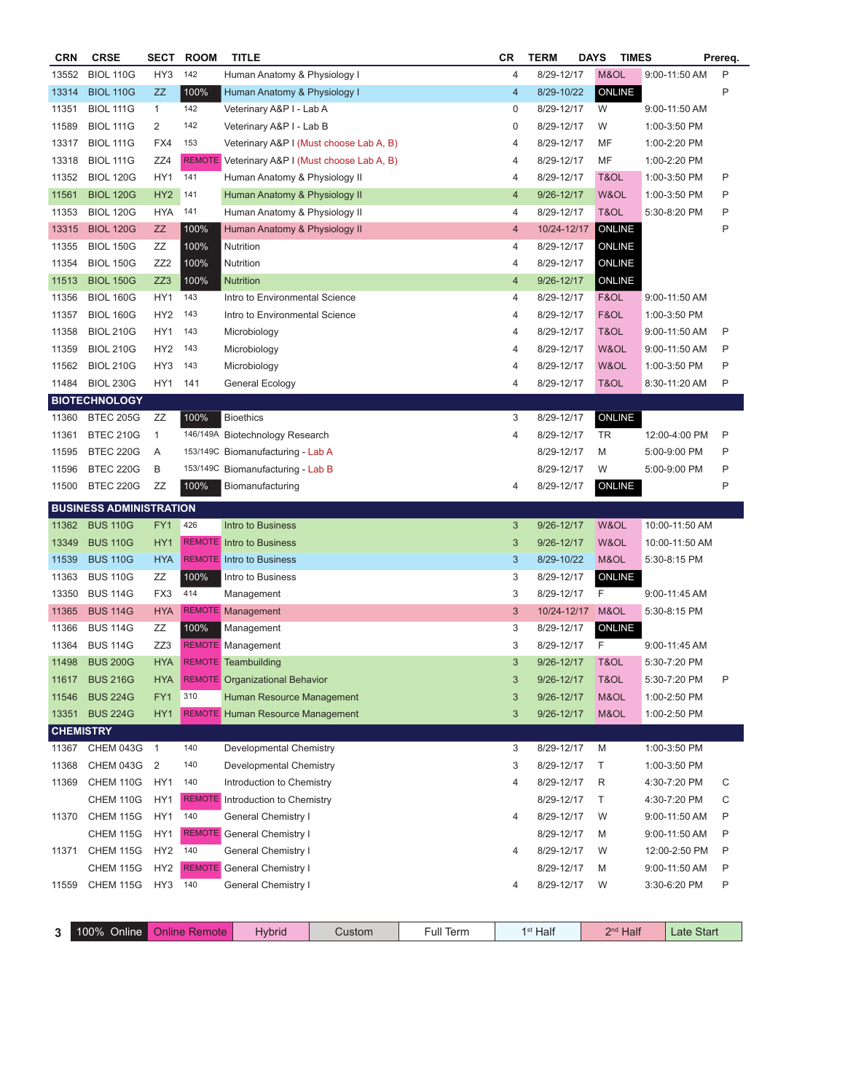| <b>BIOL 110G</b><br>HY3<br>142<br>8/29-12/17<br>M&OL<br>9:00-11:50 AM<br>Human Anatomy & Physiology I<br>4<br>100%<br>ONLINE<br><b>BIOL 110G</b><br>ZZ<br>4<br>8/29-10/22<br>Human Anatomy & Physiology I<br>142<br><b>BIOL 111G</b><br>$\mathbf{1}$<br>Veterinary A&P I - Lab A<br>0<br>8/29-12/17<br>W<br>9:00-11:50 AM<br>2<br>142<br><b>BIOL 111G</b><br>Veterinary A&P I - Lab B<br>0<br>8/29-12/17<br>W<br>1:00-3:50 PM<br>153<br>MF<br><b>BIOL 111G</b><br>FX4<br>Veterinary A&P I (Must choose Lab A, B)<br>8/29-12/17<br>4<br>1:00-2:20 PM<br>MF<br><b>BIOL 111G</b><br>ZZ4<br>REMOTE Veterinary A&P I (Must choose Lab A, B)<br>8/29-12/17<br>1:00-2:20 PM<br>4<br><b>BIOL 120G</b><br>HY1<br>141<br>Human Anatomy & Physiology II<br>8/29-12/17<br>T&OL<br>1:00-3:50 PM<br>4<br>HY <sub>2</sub><br>141<br>9/26-12/17<br>W&OL<br><b>BIOL 120G</b><br>Human Anatomy & Physiology II<br>4<br>1:00-3:50 PM<br><b>BIOL 120G</b><br><b>HYA</b><br>T&OL<br>141<br>Human Anatomy & Physiology II<br>8/29-12/17<br>5:30-8:20 PM<br>4<br><b>ONLINE</b><br>100%<br><b>BIOL 120G</b><br>ZZ<br>Human Anatomy & Physiology II<br>10/24-12/17<br>4<br><b>BIOL 150G</b><br>ZΖ<br>100%<br>8/29-12/17<br>ONLINE<br>Nutrition<br>4<br>ONLINE<br><b>BIOL 150G</b><br>ZZ2<br>100%<br>Nutrition<br>4<br>8/29-12/17<br>ZZ3<br>ONLINE<br><b>BIOL 150G</b><br>100%<br><b>Nutrition</b><br>4<br>9/26-12/17<br>HY1<br>11356<br><b>BIOL 160G</b><br>143<br>Intro to Environmental Science<br>8/29-12/17<br>F&OL<br>9:00-11:50 AM<br>4<br>143<br>F&OL<br><b>BIOL 160G</b><br>HY <sub>2</sub><br>Intro to Environmental Science<br>8/29-12/17<br>11357<br>4<br>1:00-3:50 PM<br><b>BIOL 210G</b><br>HY1<br>143<br>T&OL<br>P<br>11358<br>Microbiology<br>4<br>8/29-12/17<br>9:00-11:50 AM<br><b>BIOL 210G</b><br>HY <sub>2</sub><br>143<br>Microbiology<br>8/29-12/17<br>W&OL<br>P<br>11359<br>4<br>$9:00-11:50$ AM<br>143<br>W&OL<br>P<br><b>BIOL 210G</b><br>HY3<br>Microbiology<br>8/29-12/17<br>1:00-3:50 PM<br>11562<br>4<br>141<br>T&OL<br>P<br>11484<br><b>BIOL 230G</b><br>HY1<br>General Ecology<br>8/29-12/17<br>4<br>8:30-11:20 AM<br><b>BIOTECHNOLOGY</b><br>100%<br>ONLINE<br><b>BTEC 205G</b><br>ZΖ<br><b>Bioethics</b><br>3<br>8/29-12/17<br>11360<br>P<br><b>BTEC 210G</b><br>146/149A Biotechnology Research<br>4<br>8/29-12/17<br>TR<br>12:00-4:00 PM<br>11361<br>1<br>P<br><b>BTEC 220G</b><br>Α<br>153/149C Biomanufacturing - Lab A<br>8/29-12/17<br>M<br>5:00-9:00 PM<br>11595<br><b>BTEC 220G</b><br>P<br>11596<br>В<br>153/149C Biomanufacturing - Lab B<br>8/29-12/17<br>W<br>5:00-9:00 PM<br>100%<br>ONLINE<br>P<br>11500<br><b>BTEC 220G</b><br>ΖZ<br>8/29-12/17<br>Biomanufacturing<br>4<br><b>BUSINESS ADMINISTRATION</b><br><b>BUS 110G</b><br>426<br>FY1<br>Intro to Business<br>3<br>9/26-12/17<br>W&OL<br>10:00-11:50 AM<br><b>BUS 110G</b><br>W&OL<br>HY1<br><b>REMOTE</b> Intro to Business<br>3<br>9/26-12/17<br>10:00-11:50 AM<br><b>BUS 110G</b><br><b>HYA</b><br><b>REMOTE</b> Intro to Business<br>8/29-10/22<br>M&OL<br>5:30-8:15 PM<br>3<br>100%<br>ONLINE<br><b>BUS 110G</b><br>ZΖ<br>Intro to Business<br>3<br>8/29-12/17<br><b>BUS 114G</b><br>414<br>8/29-12/17<br>F<br>FX3<br>Management<br>3<br>9:00-11:45 AM<br><b>BUS 114G</b><br>REMOTE Management<br><b>HYA</b><br>3<br>10/24-12/17<br>M&OL<br>5:30-8:15 PM<br>ONLINE<br><b>BUS 114G</b><br>ZΖ<br>100%<br>Management<br>3<br>8/29-12/17<br><b>BUS 114G</b><br>ZZ3<br><b>REMOTE</b> Management<br>3<br>8/29-12/17<br>F<br>9:00-11:45 AM<br><b>HYA</b><br>3<br><b>BUS 200G</b><br>REMOTE Teambuilding<br>9/26-12/17<br>T&OL<br>5:30-7:20 PM<br><b>BUS 216G</b><br><b>REMOTE</b> Organizational Behavior<br>9/26-12/17<br>T&OL<br>5:30-7:20 PM<br><b>HYA</b><br>3<br>310<br><b>BUS 224G</b><br>M&OL<br>FY1<br>Human Resource Management<br>9/26-12/17<br>1:00-2:50 PM<br>3<br>13351 BUS 224G<br><b>REMOTE</b> Human Resource Management<br>M&OL<br>HY1<br>3<br>9/26-12/17<br>1:00-2:50 PM<br><b>CHEMISTRY</b><br>CHEM 043G<br>140<br>1:00-3:50 PM<br>$\overline{1}$<br>Developmental Chemistry<br>3<br>8/29-12/17<br>M<br>CHEM 043G<br>$\overline{2}$<br>140<br>8/29-12/17<br>Т<br>Developmental Chemistry<br>3<br>1:00-3:50 PM<br>CHEM 110G<br>HY1<br>140<br>8/29-12/17<br>R<br>Introduction to Chemistry<br>4:30-7:20 PM<br>4<br>HY1<br><b>REMOTE</b><br>Т<br>CHEM 110G<br>Introduction to Chemistry<br>8/29-12/17<br>4:30-7:20 PM<br>140<br><b>CHEM 115G</b><br>HY1<br>8/29-12/17<br><b>General Chemistry I</b><br>W<br>9:00-11:50 AM<br>4<br>CHEM 115G<br>HY1<br><b>REMOTE</b> General Chemistry I<br>8/29-12/17<br>M<br>9:00-11:50 AM<br>CHEM 115G<br>HY <sub>2</sub><br>140<br><b>General Chemistry I</b><br>8/29-12/17<br>W<br>12:00-2:50 PM<br>4<br><b>REMOTE</b> General Chemistry I<br>CHEM 115G<br>HY <sub>2</sub><br>8/29-12/17<br>M<br>9:00-11:50 AM<br>P<br>140<br>CHEM 115G<br>HY3<br><b>General Chemistry I</b><br>8/29-12/17<br>W<br>3:30-6:20 PM<br>11559<br>4<br>$100\%$ Online<br>$2nd$ Half<br><b>Online Remote</b><br>Full Term<br>1 <sup>st</sup> Half<br>Late Start<br>Custom | <b>CRN</b> | <b>CRSE</b> | <b>SECT</b> | <b>ROOM</b> | <b>TITLE</b>  |  |  | CR | <b>TERM</b> | <b>DAYS</b> | <b>TIMES</b> | Prereq. |
|-----------------------------------------------------------------------------------------------------------------------------------------------------------------------------------------------------------------------------------------------------------------------------------------------------------------------------------------------------------------------------------------------------------------------------------------------------------------------------------------------------------------------------------------------------------------------------------------------------------------------------------------------------------------------------------------------------------------------------------------------------------------------------------------------------------------------------------------------------------------------------------------------------------------------------------------------------------------------------------------------------------------------------------------------------------------------------------------------------------------------------------------------------------------------------------------------------------------------------------------------------------------------------------------------------------------------------------------------------------------------------------------------------------------------------------------------------------------------------------------------------------------------------------------------------------------------------------------------------------------------------------------------------------------------------------------------------------------------------------------------------------------------------------------------------------------------------------------------------------------------------------------------------------------------------------------------------------------------------------------------------------------------------------------------------------------------------------------------------------------------------------------------------------------------------------------------------------------------------------------------------------------------------------------------------------------------------------------------------------------------------------------------------------------------------------------------------------------------------------------------------------------------------------------------------------------------------------------------------------------------------------------------------------------------------------------------------------------------------------------------------------------------------------------------------------------------------------------------------------------------------------------------------------------------------------------------------------------------------------------------------------------------------------------------------------------------------------------------------------------------------------------------------------------------------------------------------------------------------------------------------------------------------------------------------------------------------------------------------------------------------------------------------------------------------------------------------------------------------------------------------------------------------------------------------------------------------------------------------------------------------------------------------------------------------------------------------------------------------------------------------------------------------------------------------------------------------------------------------------------------------------------------------------------------------------------------------------------------------------------------------------------------------------------------------------------------------------------------------------------------------------------------------------------------------------------------------------------------------------------------------------------------------------------------------------------------------------------------------------------------------------------------------------------------------------------------------------------------------------------------------------------------------------------------------------------------------------------------------------------------------------------------------------------------------------------------------------------------------------------------------------------------------------------------------------------------------------------------------------------------------------------------------------------------------------------------------------------------------------------------------------------------------------------------------------------------------------|------------|-------------|-------------|-------------|---------------|--|--|----|-------------|-------------|--------------|---------|
|                                                                                                                                                                                                                                                                                                                                                                                                                                                                                                                                                                                                                                                                                                                                                                                                                                                                                                                                                                                                                                                                                                                                                                                                                                                                                                                                                                                                                                                                                                                                                                                                                                                                                                                                                                                                                                                                                                                                                                                                                                                                                                                                                                                                                                                                                                                                                                                                                                                                                                                                                                                                                                                                                                                                                                                                                                                                                                                                                                                                                                                                                                                                                                                                                                                                                                                                                                                                                                                                                                                                                                                                                                                                                                                                                                                                                                                                                                                                                                                                                                                                                                                                                                                                                                                                                                                                                                                                                                                                                                                                                                                                                                                                                                                                                                                                                                                                                                                                                                                                                                                                                   | 13552      |             |             |             |               |  |  |    |             |             |              | P       |
|                                                                                                                                                                                                                                                                                                                                                                                                                                                                                                                                                                                                                                                                                                                                                                                                                                                                                                                                                                                                                                                                                                                                                                                                                                                                                                                                                                                                                                                                                                                                                                                                                                                                                                                                                                                                                                                                                                                                                                                                                                                                                                                                                                                                                                                                                                                                                                                                                                                                                                                                                                                                                                                                                                                                                                                                                                                                                                                                                                                                                                                                                                                                                                                                                                                                                                                                                                                                                                                                                                                                                                                                                                                                                                                                                                                                                                                                                                                                                                                                                                                                                                                                                                                                                                                                                                                                                                                                                                                                                                                                                                                                                                                                                                                                                                                                                                                                                                                                                                                                                                                                                   | 13314      |             |             |             |               |  |  |    |             |             |              | P       |
|                                                                                                                                                                                                                                                                                                                                                                                                                                                                                                                                                                                                                                                                                                                                                                                                                                                                                                                                                                                                                                                                                                                                                                                                                                                                                                                                                                                                                                                                                                                                                                                                                                                                                                                                                                                                                                                                                                                                                                                                                                                                                                                                                                                                                                                                                                                                                                                                                                                                                                                                                                                                                                                                                                                                                                                                                                                                                                                                                                                                                                                                                                                                                                                                                                                                                                                                                                                                                                                                                                                                                                                                                                                                                                                                                                                                                                                                                                                                                                                                                                                                                                                                                                                                                                                                                                                                                                                                                                                                                                                                                                                                                                                                                                                                                                                                                                                                                                                                                                                                                                                                                   | 11351      |             |             |             |               |  |  |    |             |             |              |         |
|                                                                                                                                                                                                                                                                                                                                                                                                                                                                                                                                                                                                                                                                                                                                                                                                                                                                                                                                                                                                                                                                                                                                                                                                                                                                                                                                                                                                                                                                                                                                                                                                                                                                                                                                                                                                                                                                                                                                                                                                                                                                                                                                                                                                                                                                                                                                                                                                                                                                                                                                                                                                                                                                                                                                                                                                                                                                                                                                                                                                                                                                                                                                                                                                                                                                                                                                                                                                                                                                                                                                                                                                                                                                                                                                                                                                                                                                                                                                                                                                                                                                                                                                                                                                                                                                                                                                                                                                                                                                                                                                                                                                                                                                                                                                                                                                                                                                                                                                                                                                                                                                                   | 11589      |             |             |             |               |  |  |    |             |             |              |         |
|                                                                                                                                                                                                                                                                                                                                                                                                                                                                                                                                                                                                                                                                                                                                                                                                                                                                                                                                                                                                                                                                                                                                                                                                                                                                                                                                                                                                                                                                                                                                                                                                                                                                                                                                                                                                                                                                                                                                                                                                                                                                                                                                                                                                                                                                                                                                                                                                                                                                                                                                                                                                                                                                                                                                                                                                                                                                                                                                                                                                                                                                                                                                                                                                                                                                                                                                                                                                                                                                                                                                                                                                                                                                                                                                                                                                                                                                                                                                                                                                                                                                                                                                                                                                                                                                                                                                                                                                                                                                                                                                                                                                                                                                                                                                                                                                                                                                                                                                                                                                                                                                                   | 13317      |             |             |             |               |  |  |    |             |             |              |         |
|                                                                                                                                                                                                                                                                                                                                                                                                                                                                                                                                                                                                                                                                                                                                                                                                                                                                                                                                                                                                                                                                                                                                                                                                                                                                                                                                                                                                                                                                                                                                                                                                                                                                                                                                                                                                                                                                                                                                                                                                                                                                                                                                                                                                                                                                                                                                                                                                                                                                                                                                                                                                                                                                                                                                                                                                                                                                                                                                                                                                                                                                                                                                                                                                                                                                                                                                                                                                                                                                                                                                                                                                                                                                                                                                                                                                                                                                                                                                                                                                                                                                                                                                                                                                                                                                                                                                                                                                                                                                                                                                                                                                                                                                                                                                                                                                                                                                                                                                                                                                                                                                                   | 13318      |             |             |             |               |  |  |    |             |             |              |         |
|                                                                                                                                                                                                                                                                                                                                                                                                                                                                                                                                                                                                                                                                                                                                                                                                                                                                                                                                                                                                                                                                                                                                                                                                                                                                                                                                                                                                                                                                                                                                                                                                                                                                                                                                                                                                                                                                                                                                                                                                                                                                                                                                                                                                                                                                                                                                                                                                                                                                                                                                                                                                                                                                                                                                                                                                                                                                                                                                                                                                                                                                                                                                                                                                                                                                                                                                                                                                                                                                                                                                                                                                                                                                                                                                                                                                                                                                                                                                                                                                                                                                                                                                                                                                                                                                                                                                                                                                                                                                                                                                                                                                                                                                                                                                                                                                                                                                                                                                                                                                                                                                                   | 11352      |             |             |             |               |  |  |    |             |             |              | Ρ       |
|                                                                                                                                                                                                                                                                                                                                                                                                                                                                                                                                                                                                                                                                                                                                                                                                                                                                                                                                                                                                                                                                                                                                                                                                                                                                                                                                                                                                                                                                                                                                                                                                                                                                                                                                                                                                                                                                                                                                                                                                                                                                                                                                                                                                                                                                                                                                                                                                                                                                                                                                                                                                                                                                                                                                                                                                                                                                                                                                                                                                                                                                                                                                                                                                                                                                                                                                                                                                                                                                                                                                                                                                                                                                                                                                                                                                                                                                                                                                                                                                                                                                                                                                                                                                                                                                                                                                                                                                                                                                                                                                                                                                                                                                                                                                                                                                                                                                                                                                                                                                                                                                                   | 11561      |             |             |             |               |  |  |    |             |             |              | P       |
|                                                                                                                                                                                                                                                                                                                                                                                                                                                                                                                                                                                                                                                                                                                                                                                                                                                                                                                                                                                                                                                                                                                                                                                                                                                                                                                                                                                                                                                                                                                                                                                                                                                                                                                                                                                                                                                                                                                                                                                                                                                                                                                                                                                                                                                                                                                                                                                                                                                                                                                                                                                                                                                                                                                                                                                                                                                                                                                                                                                                                                                                                                                                                                                                                                                                                                                                                                                                                                                                                                                                                                                                                                                                                                                                                                                                                                                                                                                                                                                                                                                                                                                                                                                                                                                                                                                                                                                                                                                                                                                                                                                                                                                                                                                                                                                                                                                                                                                                                                                                                                                                                   | 11353      |             |             |             |               |  |  |    |             |             |              | P       |
|                                                                                                                                                                                                                                                                                                                                                                                                                                                                                                                                                                                                                                                                                                                                                                                                                                                                                                                                                                                                                                                                                                                                                                                                                                                                                                                                                                                                                                                                                                                                                                                                                                                                                                                                                                                                                                                                                                                                                                                                                                                                                                                                                                                                                                                                                                                                                                                                                                                                                                                                                                                                                                                                                                                                                                                                                                                                                                                                                                                                                                                                                                                                                                                                                                                                                                                                                                                                                                                                                                                                                                                                                                                                                                                                                                                                                                                                                                                                                                                                                                                                                                                                                                                                                                                                                                                                                                                                                                                                                                                                                                                                                                                                                                                                                                                                                                                                                                                                                                                                                                                                                   | 13315      |             |             |             |               |  |  |    |             |             |              | P       |
|                                                                                                                                                                                                                                                                                                                                                                                                                                                                                                                                                                                                                                                                                                                                                                                                                                                                                                                                                                                                                                                                                                                                                                                                                                                                                                                                                                                                                                                                                                                                                                                                                                                                                                                                                                                                                                                                                                                                                                                                                                                                                                                                                                                                                                                                                                                                                                                                                                                                                                                                                                                                                                                                                                                                                                                                                                                                                                                                                                                                                                                                                                                                                                                                                                                                                                                                                                                                                                                                                                                                                                                                                                                                                                                                                                                                                                                                                                                                                                                                                                                                                                                                                                                                                                                                                                                                                                                                                                                                                                                                                                                                                                                                                                                                                                                                                                                                                                                                                                                                                                                                                   | 11355      |             |             |             |               |  |  |    |             |             |              |         |
|                                                                                                                                                                                                                                                                                                                                                                                                                                                                                                                                                                                                                                                                                                                                                                                                                                                                                                                                                                                                                                                                                                                                                                                                                                                                                                                                                                                                                                                                                                                                                                                                                                                                                                                                                                                                                                                                                                                                                                                                                                                                                                                                                                                                                                                                                                                                                                                                                                                                                                                                                                                                                                                                                                                                                                                                                                                                                                                                                                                                                                                                                                                                                                                                                                                                                                                                                                                                                                                                                                                                                                                                                                                                                                                                                                                                                                                                                                                                                                                                                                                                                                                                                                                                                                                                                                                                                                                                                                                                                                                                                                                                                                                                                                                                                                                                                                                                                                                                                                                                                                                                                   | 11354      |             |             |             |               |  |  |    |             |             |              |         |
|                                                                                                                                                                                                                                                                                                                                                                                                                                                                                                                                                                                                                                                                                                                                                                                                                                                                                                                                                                                                                                                                                                                                                                                                                                                                                                                                                                                                                                                                                                                                                                                                                                                                                                                                                                                                                                                                                                                                                                                                                                                                                                                                                                                                                                                                                                                                                                                                                                                                                                                                                                                                                                                                                                                                                                                                                                                                                                                                                                                                                                                                                                                                                                                                                                                                                                                                                                                                                                                                                                                                                                                                                                                                                                                                                                                                                                                                                                                                                                                                                                                                                                                                                                                                                                                                                                                                                                                                                                                                                                                                                                                                                                                                                                                                                                                                                                                                                                                                                                                                                                                                                   | 11513      |             |             |             |               |  |  |    |             |             |              |         |
|                                                                                                                                                                                                                                                                                                                                                                                                                                                                                                                                                                                                                                                                                                                                                                                                                                                                                                                                                                                                                                                                                                                                                                                                                                                                                                                                                                                                                                                                                                                                                                                                                                                                                                                                                                                                                                                                                                                                                                                                                                                                                                                                                                                                                                                                                                                                                                                                                                                                                                                                                                                                                                                                                                                                                                                                                                                                                                                                                                                                                                                                                                                                                                                                                                                                                                                                                                                                                                                                                                                                                                                                                                                                                                                                                                                                                                                                                                                                                                                                                                                                                                                                                                                                                                                                                                                                                                                                                                                                                                                                                                                                                                                                                                                                                                                                                                                                                                                                                                                                                                                                                   |            |             |             |             |               |  |  |    |             |             |              |         |
|                                                                                                                                                                                                                                                                                                                                                                                                                                                                                                                                                                                                                                                                                                                                                                                                                                                                                                                                                                                                                                                                                                                                                                                                                                                                                                                                                                                                                                                                                                                                                                                                                                                                                                                                                                                                                                                                                                                                                                                                                                                                                                                                                                                                                                                                                                                                                                                                                                                                                                                                                                                                                                                                                                                                                                                                                                                                                                                                                                                                                                                                                                                                                                                                                                                                                                                                                                                                                                                                                                                                                                                                                                                                                                                                                                                                                                                                                                                                                                                                                                                                                                                                                                                                                                                                                                                                                                                                                                                                                                                                                                                                                                                                                                                                                                                                                                                                                                                                                                                                                                                                                   |            |             |             |             |               |  |  |    |             |             |              |         |
|                                                                                                                                                                                                                                                                                                                                                                                                                                                                                                                                                                                                                                                                                                                                                                                                                                                                                                                                                                                                                                                                                                                                                                                                                                                                                                                                                                                                                                                                                                                                                                                                                                                                                                                                                                                                                                                                                                                                                                                                                                                                                                                                                                                                                                                                                                                                                                                                                                                                                                                                                                                                                                                                                                                                                                                                                                                                                                                                                                                                                                                                                                                                                                                                                                                                                                                                                                                                                                                                                                                                                                                                                                                                                                                                                                                                                                                                                                                                                                                                                                                                                                                                                                                                                                                                                                                                                                                                                                                                                                                                                                                                                                                                                                                                                                                                                                                                                                                                                                                                                                                                                   |            |             |             |             |               |  |  |    |             |             |              |         |
|                                                                                                                                                                                                                                                                                                                                                                                                                                                                                                                                                                                                                                                                                                                                                                                                                                                                                                                                                                                                                                                                                                                                                                                                                                                                                                                                                                                                                                                                                                                                                                                                                                                                                                                                                                                                                                                                                                                                                                                                                                                                                                                                                                                                                                                                                                                                                                                                                                                                                                                                                                                                                                                                                                                                                                                                                                                                                                                                                                                                                                                                                                                                                                                                                                                                                                                                                                                                                                                                                                                                                                                                                                                                                                                                                                                                                                                                                                                                                                                                                                                                                                                                                                                                                                                                                                                                                                                                                                                                                                                                                                                                                                                                                                                                                                                                                                                                                                                                                                                                                                                                                   |            |             |             |             |               |  |  |    |             |             |              |         |
|                                                                                                                                                                                                                                                                                                                                                                                                                                                                                                                                                                                                                                                                                                                                                                                                                                                                                                                                                                                                                                                                                                                                                                                                                                                                                                                                                                                                                                                                                                                                                                                                                                                                                                                                                                                                                                                                                                                                                                                                                                                                                                                                                                                                                                                                                                                                                                                                                                                                                                                                                                                                                                                                                                                                                                                                                                                                                                                                                                                                                                                                                                                                                                                                                                                                                                                                                                                                                                                                                                                                                                                                                                                                                                                                                                                                                                                                                                                                                                                                                                                                                                                                                                                                                                                                                                                                                                                                                                                                                                                                                                                                                                                                                                                                                                                                                                                                                                                                                                                                                                                                                   |            |             |             |             |               |  |  |    |             |             |              |         |
|                                                                                                                                                                                                                                                                                                                                                                                                                                                                                                                                                                                                                                                                                                                                                                                                                                                                                                                                                                                                                                                                                                                                                                                                                                                                                                                                                                                                                                                                                                                                                                                                                                                                                                                                                                                                                                                                                                                                                                                                                                                                                                                                                                                                                                                                                                                                                                                                                                                                                                                                                                                                                                                                                                                                                                                                                                                                                                                                                                                                                                                                                                                                                                                                                                                                                                                                                                                                                                                                                                                                                                                                                                                                                                                                                                                                                                                                                                                                                                                                                                                                                                                                                                                                                                                                                                                                                                                                                                                                                                                                                                                                                                                                                                                                                                                                                                                                                                                                                                                                                                                                                   |            |             |             |             |               |  |  |    |             |             |              |         |
|                                                                                                                                                                                                                                                                                                                                                                                                                                                                                                                                                                                                                                                                                                                                                                                                                                                                                                                                                                                                                                                                                                                                                                                                                                                                                                                                                                                                                                                                                                                                                                                                                                                                                                                                                                                                                                                                                                                                                                                                                                                                                                                                                                                                                                                                                                                                                                                                                                                                                                                                                                                                                                                                                                                                                                                                                                                                                                                                                                                                                                                                                                                                                                                                                                                                                                                                                                                                                                                                                                                                                                                                                                                                                                                                                                                                                                                                                                                                                                                                                                                                                                                                                                                                                                                                                                                                                                                                                                                                                                                                                                                                                                                                                                                                                                                                                                                                                                                                                                                                                                                                                   |            |             |             |             |               |  |  |    |             |             |              |         |
|                                                                                                                                                                                                                                                                                                                                                                                                                                                                                                                                                                                                                                                                                                                                                                                                                                                                                                                                                                                                                                                                                                                                                                                                                                                                                                                                                                                                                                                                                                                                                                                                                                                                                                                                                                                                                                                                                                                                                                                                                                                                                                                                                                                                                                                                                                                                                                                                                                                                                                                                                                                                                                                                                                                                                                                                                                                                                                                                                                                                                                                                                                                                                                                                                                                                                                                                                                                                                                                                                                                                                                                                                                                                                                                                                                                                                                                                                                                                                                                                                                                                                                                                                                                                                                                                                                                                                                                                                                                                                                                                                                                                                                                                                                                                                                                                                                                                                                                                                                                                                                                                                   |            |             |             |             |               |  |  |    |             |             |              |         |
|                                                                                                                                                                                                                                                                                                                                                                                                                                                                                                                                                                                                                                                                                                                                                                                                                                                                                                                                                                                                                                                                                                                                                                                                                                                                                                                                                                                                                                                                                                                                                                                                                                                                                                                                                                                                                                                                                                                                                                                                                                                                                                                                                                                                                                                                                                                                                                                                                                                                                                                                                                                                                                                                                                                                                                                                                                                                                                                                                                                                                                                                                                                                                                                                                                                                                                                                                                                                                                                                                                                                                                                                                                                                                                                                                                                                                                                                                                                                                                                                                                                                                                                                                                                                                                                                                                                                                                                                                                                                                                                                                                                                                                                                                                                                                                                                                                                                                                                                                                                                                                                                                   |            |             |             |             |               |  |  |    |             |             |              |         |
|                                                                                                                                                                                                                                                                                                                                                                                                                                                                                                                                                                                                                                                                                                                                                                                                                                                                                                                                                                                                                                                                                                                                                                                                                                                                                                                                                                                                                                                                                                                                                                                                                                                                                                                                                                                                                                                                                                                                                                                                                                                                                                                                                                                                                                                                                                                                                                                                                                                                                                                                                                                                                                                                                                                                                                                                                                                                                                                                                                                                                                                                                                                                                                                                                                                                                                                                                                                                                                                                                                                                                                                                                                                                                                                                                                                                                                                                                                                                                                                                                                                                                                                                                                                                                                                                                                                                                                                                                                                                                                                                                                                                                                                                                                                                                                                                                                                                                                                                                                                                                                                                                   |            |             |             |             |               |  |  |    |             |             |              |         |
|                                                                                                                                                                                                                                                                                                                                                                                                                                                                                                                                                                                                                                                                                                                                                                                                                                                                                                                                                                                                                                                                                                                                                                                                                                                                                                                                                                                                                                                                                                                                                                                                                                                                                                                                                                                                                                                                                                                                                                                                                                                                                                                                                                                                                                                                                                                                                                                                                                                                                                                                                                                                                                                                                                                                                                                                                                                                                                                                                                                                                                                                                                                                                                                                                                                                                                                                                                                                                                                                                                                                                                                                                                                                                                                                                                                                                                                                                                                                                                                                                                                                                                                                                                                                                                                                                                                                                                                                                                                                                                                                                                                                                                                                                                                                                                                                                                                                                                                                                                                                                                                                                   |            |             |             |             |               |  |  |    |             |             |              |         |
|                                                                                                                                                                                                                                                                                                                                                                                                                                                                                                                                                                                                                                                                                                                                                                                                                                                                                                                                                                                                                                                                                                                                                                                                                                                                                                                                                                                                                                                                                                                                                                                                                                                                                                                                                                                                                                                                                                                                                                                                                                                                                                                                                                                                                                                                                                                                                                                                                                                                                                                                                                                                                                                                                                                                                                                                                                                                                                                                                                                                                                                                                                                                                                                                                                                                                                                                                                                                                                                                                                                                                                                                                                                                                                                                                                                                                                                                                                                                                                                                                                                                                                                                                                                                                                                                                                                                                                                                                                                                                                                                                                                                                                                                                                                                                                                                                                                                                                                                                                                                                                                                                   |            |             |             |             |               |  |  |    |             |             |              |         |
|                                                                                                                                                                                                                                                                                                                                                                                                                                                                                                                                                                                                                                                                                                                                                                                                                                                                                                                                                                                                                                                                                                                                                                                                                                                                                                                                                                                                                                                                                                                                                                                                                                                                                                                                                                                                                                                                                                                                                                                                                                                                                                                                                                                                                                                                                                                                                                                                                                                                                                                                                                                                                                                                                                                                                                                                                                                                                                                                                                                                                                                                                                                                                                                                                                                                                                                                                                                                                                                                                                                                                                                                                                                                                                                                                                                                                                                                                                                                                                                                                                                                                                                                                                                                                                                                                                                                                                                                                                                                                                                                                                                                                                                                                                                                                                                                                                                                                                                                                                                                                                                                                   |            |             |             |             |               |  |  |    |             |             |              |         |
|                                                                                                                                                                                                                                                                                                                                                                                                                                                                                                                                                                                                                                                                                                                                                                                                                                                                                                                                                                                                                                                                                                                                                                                                                                                                                                                                                                                                                                                                                                                                                                                                                                                                                                                                                                                                                                                                                                                                                                                                                                                                                                                                                                                                                                                                                                                                                                                                                                                                                                                                                                                                                                                                                                                                                                                                                                                                                                                                                                                                                                                                                                                                                                                                                                                                                                                                                                                                                                                                                                                                                                                                                                                                                                                                                                                                                                                                                                                                                                                                                                                                                                                                                                                                                                                                                                                                                                                                                                                                                                                                                                                                                                                                                                                                                                                                                                                                                                                                                                                                                                                                                   |            |             |             |             |               |  |  |    |             |             |              |         |
|                                                                                                                                                                                                                                                                                                                                                                                                                                                                                                                                                                                                                                                                                                                                                                                                                                                                                                                                                                                                                                                                                                                                                                                                                                                                                                                                                                                                                                                                                                                                                                                                                                                                                                                                                                                                                                                                                                                                                                                                                                                                                                                                                                                                                                                                                                                                                                                                                                                                                                                                                                                                                                                                                                                                                                                                                                                                                                                                                                                                                                                                                                                                                                                                                                                                                                                                                                                                                                                                                                                                                                                                                                                                                                                                                                                                                                                                                                                                                                                                                                                                                                                                                                                                                                                                                                                                                                                                                                                                                                                                                                                                                                                                                                                                                                                                                                                                                                                                                                                                                                                                                   | 11362      |             |             |             |               |  |  |    |             |             |              |         |
|                                                                                                                                                                                                                                                                                                                                                                                                                                                                                                                                                                                                                                                                                                                                                                                                                                                                                                                                                                                                                                                                                                                                                                                                                                                                                                                                                                                                                                                                                                                                                                                                                                                                                                                                                                                                                                                                                                                                                                                                                                                                                                                                                                                                                                                                                                                                                                                                                                                                                                                                                                                                                                                                                                                                                                                                                                                                                                                                                                                                                                                                                                                                                                                                                                                                                                                                                                                                                                                                                                                                                                                                                                                                                                                                                                                                                                                                                                                                                                                                                                                                                                                                                                                                                                                                                                                                                                                                                                                                                                                                                                                                                                                                                                                                                                                                                                                                                                                                                                                                                                                                                   | 13349      |             |             |             |               |  |  |    |             |             |              |         |
|                                                                                                                                                                                                                                                                                                                                                                                                                                                                                                                                                                                                                                                                                                                                                                                                                                                                                                                                                                                                                                                                                                                                                                                                                                                                                                                                                                                                                                                                                                                                                                                                                                                                                                                                                                                                                                                                                                                                                                                                                                                                                                                                                                                                                                                                                                                                                                                                                                                                                                                                                                                                                                                                                                                                                                                                                                                                                                                                                                                                                                                                                                                                                                                                                                                                                                                                                                                                                                                                                                                                                                                                                                                                                                                                                                                                                                                                                                                                                                                                                                                                                                                                                                                                                                                                                                                                                                                                                                                                                                                                                                                                                                                                                                                                                                                                                                                                                                                                                                                                                                                                                   | 11539      |             |             |             |               |  |  |    |             |             |              |         |
|                                                                                                                                                                                                                                                                                                                                                                                                                                                                                                                                                                                                                                                                                                                                                                                                                                                                                                                                                                                                                                                                                                                                                                                                                                                                                                                                                                                                                                                                                                                                                                                                                                                                                                                                                                                                                                                                                                                                                                                                                                                                                                                                                                                                                                                                                                                                                                                                                                                                                                                                                                                                                                                                                                                                                                                                                                                                                                                                                                                                                                                                                                                                                                                                                                                                                                                                                                                                                                                                                                                                                                                                                                                                                                                                                                                                                                                                                                                                                                                                                                                                                                                                                                                                                                                                                                                                                                                                                                                                                                                                                                                                                                                                                                                                                                                                                                                                                                                                                                                                                                                                                   | 11363      |             |             |             |               |  |  |    |             |             |              |         |
|                                                                                                                                                                                                                                                                                                                                                                                                                                                                                                                                                                                                                                                                                                                                                                                                                                                                                                                                                                                                                                                                                                                                                                                                                                                                                                                                                                                                                                                                                                                                                                                                                                                                                                                                                                                                                                                                                                                                                                                                                                                                                                                                                                                                                                                                                                                                                                                                                                                                                                                                                                                                                                                                                                                                                                                                                                                                                                                                                                                                                                                                                                                                                                                                                                                                                                                                                                                                                                                                                                                                                                                                                                                                                                                                                                                                                                                                                                                                                                                                                                                                                                                                                                                                                                                                                                                                                                                                                                                                                                                                                                                                                                                                                                                                                                                                                                                                                                                                                                                                                                                                                   | 13350      |             |             |             |               |  |  |    |             |             |              |         |
|                                                                                                                                                                                                                                                                                                                                                                                                                                                                                                                                                                                                                                                                                                                                                                                                                                                                                                                                                                                                                                                                                                                                                                                                                                                                                                                                                                                                                                                                                                                                                                                                                                                                                                                                                                                                                                                                                                                                                                                                                                                                                                                                                                                                                                                                                                                                                                                                                                                                                                                                                                                                                                                                                                                                                                                                                                                                                                                                                                                                                                                                                                                                                                                                                                                                                                                                                                                                                                                                                                                                                                                                                                                                                                                                                                                                                                                                                                                                                                                                                                                                                                                                                                                                                                                                                                                                                                                                                                                                                                                                                                                                                                                                                                                                                                                                                                                                                                                                                                                                                                                                                   | 11365      |             |             |             |               |  |  |    |             |             |              |         |
|                                                                                                                                                                                                                                                                                                                                                                                                                                                                                                                                                                                                                                                                                                                                                                                                                                                                                                                                                                                                                                                                                                                                                                                                                                                                                                                                                                                                                                                                                                                                                                                                                                                                                                                                                                                                                                                                                                                                                                                                                                                                                                                                                                                                                                                                                                                                                                                                                                                                                                                                                                                                                                                                                                                                                                                                                                                                                                                                                                                                                                                                                                                                                                                                                                                                                                                                                                                                                                                                                                                                                                                                                                                                                                                                                                                                                                                                                                                                                                                                                                                                                                                                                                                                                                                                                                                                                                                                                                                                                                                                                                                                                                                                                                                                                                                                                                                                                                                                                                                                                                                                                   | 11366      |             |             |             |               |  |  |    |             |             |              |         |
|                                                                                                                                                                                                                                                                                                                                                                                                                                                                                                                                                                                                                                                                                                                                                                                                                                                                                                                                                                                                                                                                                                                                                                                                                                                                                                                                                                                                                                                                                                                                                                                                                                                                                                                                                                                                                                                                                                                                                                                                                                                                                                                                                                                                                                                                                                                                                                                                                                                                                                                                                                                                                                                                                                                                                                                                                                                                                                                                                                                                                                                                                                                                                                                                                                                                                                                                                                                                                                                                                                                                                                                                                                                                                                                                                                                                                                                                                                                                                                                                                                                                                                                                                                                                                                                                                                                                                                                                                                                                                                                                                                                                                                                                                                                                                                                                                                                                                                                                                                                                                                                                                   | 11364      |             |             |             |               |  |  |    |             |             |              |         |
|                                                                                                                                                                                                                                                                                                                                                                                                                                                                                                                                                                                                                                                                                                                                                                                                                                                                                                                                                                                                                                                                                                                                                                                                                                                                                                                                                                                                                                                                                                                                                                                                                                                                                                                                                                                                                                                                                                                                                                                                                                                                                                                                                                                                                                                                                                                                                                                                                                                                                                                                                                                                                                                                                                                                                                                                                                                                                                                                                                                                                                                                                                                                                                                                                                                                                                                                                                                                                                                                                                                                                                                                                                                                                                                                                                                                                                                                                                                                                                                                                                                                                                                                                                                                                                                                                                                                                                                                                                                                                                                                                                                                                                                                                                                                                                                                                                                                                                                                                                                                                                                                                   | 11498      |             |             |             |               |  |  |    |             |             |              |         |
|                                                                                                                                                                                                                                                                                                                                                                                                                                                                                                                                                                                                                                                                                                                                                                                                                                                                                                                                                                                                                                                                                                                                                                                                                                                                                                                                                                                                                                                                                                                                                                                                                                                                                                                                                                                                                                                                                                                                                                                                                                                                                                                                                                                                                                                                                                                                                                                                                                                                                                                                                                                                                                                                                                                                                                                                                                                                                                                                                                                                                                                                                                                                                                                                                                                                                                                                                                                                                                                                                                                                                                                                                                                                                                                                                                                                                                                                                                                                                                                                                                                                                                                                                                                                                                                                                                                                                                                                                                                                                                                                                                                                                                                                                                                                                                                                                                                                                                                                                                                                                                                                                   | 11617      |             |             |             |               |  |  |    |             |             |              | P       |
|                                                                                                                                                                                                                                                                                                                                                                                                                                                                                                                                                                                                                                                                                                                                                                                                                                                                                                                                                                                                                                                                                                                                                                                                                                                                                                                                                                                                                                                                                                                                                                                                                                                                                                                                                                                                                                                                                                                                                                                                                                                                                                                                                                                                                                                                                                                                                                                                                                                                                                                                                                                                                                                                                                                                                                                                                                                                                                                                                                                                                                                                                                                                                                                                                                                                                                                                                                                                                                                                                                                                                                                                                                                                                                                                                                                                                                                                                                                                                                                                                                                                                                                                                                                                                                                                                                                                                                                                                                                                                                                                                                                                                                                                                                                                                                                                                                                                                                                                                                                                                                                                                   | 11546      |             |             |             |               |  |  |    |             |             |              |         |
|                                                                                                                                                                                                                                                                                                                                                                                                                                                                                                                                                                                                                                                                                                                                                                                                                                                                                                                                                                                                                                                                                                                                                                                                                                                                                                                                                                                                                                                                                                                                                                                                                                                                                                                                                                                                                                                                                                                                                                                                                                                                                                                                                                                                                                                                                                                                                                                                                                                                                                                                                                                                                                                                                                                                                                                                                                                                                                                                                                                                                                                                                                                                                                                                                                                                                                                                                                                                                                                                                                                                                                                                                                                                                                                                                                                                                                                                                                                                                                                                                                                                                                                                                                                                                                                                                                                                                                                                                                                                                                                                                                                                                                                                                                                                                                                                                                                                                                                                                                                                                                                                                   |            |             |             |             |               |  |  |    |             |             |              |         |
|                                                                                                                                                                                                                                                                                                                                                                                                                                                                                                                                                                                                                                                                                                                                                                                                                                                                                                                                                                                                                                                                                                                                                                                                                                                                                                                                                                                                                                                                                                                                                                                                                                                                                                                                                                                                                                                                                                                                                                                                                                                                                                                                                                                                                                                                                                                                                                                                                                                                                                                                                                                                                                                                                                                                                                                                                                                                                                                                                                                                                                                                                                                                                                                                                                                                                                                                                                                                                                                                                                                                                                                                                                                                                                                                                                                                                                                                                                                                                                                                                                                                                                                                                                                                                                                                                                                                                                                                                                                                                                                                                                                                                                                                                                                                                                                                                                                                                                                                                                                                                                                                                   |            |             |             |             |               |  |  |    |             |             |              |         |
|                                                                                                                                                                                                                                                                                                                                                                                                                                                                                                                                                                                                                                                                                                                                                                                                                                                                                                                                                                                                                                                                                                                                                                                                                                                                                                                                                                                                                                                                                                                                                                                                                                                                                                                                                                                                                                                                                                                                                                                                                                                                                                                                                                                                                                                                                                                                                                                                                                                                                                                                                                                                                                                                                                                                                                                                                                                                                                                                                                                                                                                                                                                                                                                                                                                                                                                                                                                                                                                                                                                                                                                                                                                                                                                                                                                                                                                                                                                                                                                                                                                                                                                                                                                                                                                                                                                                                                                                                                                                                                                                                                                                                                                                                                                                                                                                                                                                                                                                                                                                                                                                                   | 11367      |             |             |             |               |  |  |    |             |             |              |         |
|                                                                                                                                                                                                                                                                                                                                                                                                                                                                                                                                                                                                                                                                                                                                                                                                                                                                                                                                                                                                                                                                                                                                                                                                                                                                                                                                                                                                                                                                                                                                                                                                                                                                                                                                                                                                                                                                                                                                                                                                                                                                                                                                                                                                                                                                                                                                                                                                                                                                                                                                                                                                                                                                                                                                                                                                                                                                                                                                                                                                                                                                                                                                                                                                                                                                                                                                                                                                                                                                                                                                                                                                                                                                                                                                                                                                                                                                                                                                                                                                                                                                                                                                                                                                                                                                                                                                                                                                                                                                                                                                                                                                                                                                                                                                                                                                                                                                                                                                                                                                                                                                                   | 11368      |             |             |             |               |  |  |    |             |             |              |         |
|                                                                                                                                                                                                                                                                                                                                                                                                                                                                                                                                                                                                                                                                                                                                                                                                                                                                                                                                                                                                                                                                                                                                                                                                                                                                                                                                                                                                                                                                                                                                                                                                                                                                                                                                                                                                                                                                                                                                                                                                                                                                                                                                                                                                                                                                                                                                                                                                                                                                                                                                                                                                                                                                                                                                                                                                                                                                                                                                                                                                                                                                                                                                                                                                                                                                                                                                                                                                                                                                                                                                                                                                                                                                                                                                                                                                                                                                                                                                                                                                                                                                                                                                                                                                                                                                                                                                                                                                                                                                                                                                                                                                                                                                                                                                                                                                                                                                                                                                                                                                                                                                                   | 11369      |             |             |             |               |  |  |    |             |             |              | C       |
|                                                                                                                                                                                                                                                                                                                                                                                                                                                                                                                                                                                                                                                                                                                                                                                                                                                                                                                                                                                                                                                                                                                                                                                                                                                                                                                                                                                                                                                                                                                                                                                                                                                                                                                                                                                                                                                                                                                                                                                                                                                                                                                                                                                                                                                                                                                                                                                                                                                                                                                                                                                                                                                                                                                                                                                                                                                                                                                                                                                                                                                                                                                                                                                                                                                                                                                                                                                                                                                                                                                                                                                                                                                                                                                                                                                                                                                                                                                                                                                                                                                                                                                                                                                                                                                                                                                                                                                                                                                                                                                                                                                                                                                                                                                                                                                                                                                                                                                                                                                                                                                                                   |            |             |             |             |               |  |  |    |             |             |              | C       |
|                                                                                                                                                                                                                                                                                                                                                                                                                                                                                                                                                                                                                                                                                                                                                                                                                                                                                                                                                                                                                                                                                                                                                                                                                                                                                                                                                                                                                                                                                                                                                                                                                                                                                                                                                                                                                                                                                                                                                                                                                                                                                                                                                                                                                                                                                                                                                                                                                                                                                                                                                                                                                                                                                                                                                                                                                                                                                                                                                                                                                                                                                                                                                                                                                                                                                                                                                                                                                                                                                                                                                                                                                                                                                                                                                                                                                                                                                                                                                                                                                                                                                                                                                                                                                                                                                                                                                                                                                                                                                                                                                                                                                                                                                                                                                                                                                                                                                                                                                                                                                                                                                   | 11370      |             |             |             |               |  |  |    |             |             |              | P       |
|                                                                                                                                                                                                                                                                                                                                                                                                                                                                                                                                                                                                                                                                                                                                                                                                                                                                                                                                                                                                                                                                                                                                                                                                                                                                                                                                                                                                                                                                                                                                                                                                                                                                                                                                                                                                                                                                                                                                                                                                                                                                                                                                                                                                                                                                                                                                                                                                                                                                                                                                                                                                                                                                                                                                                                                                                                                                                                                                                                                                                                                                                                                                                                                                                                                                                                                                                                                                                                                                                                                                                                                                                                                                                                                                                                                                                                                                                                                                                                                                                                                                                                                                                                                                                                                                                                                                                                                                                                                                                                                                                                                                                                                                                                                                                                                                                                                                                                                                                                                                                                                                                   |            |             |             |             |               |  |  |    |             |             |              | P       |
|                                                                                                                                                                                                                                                                                                                                                                                                                                                                                                                                                                                                                                                                                                                                                                                                                                                                                                                                                                                                                                                                                                                                                                                                                                                                                                                                                                                                                                                                                                                                                                                                                                                                                                                                                                                                                                                                                                                                                                                                                                                                                                                                                                                                                                                                                                                                                                                                                                                                                                                                                                                                                                                                                                                                                                                                                                                                                                                                                                                                                                                                                                                                                                                                                                                                                                                                                                                                                                                                                                                                                                                                                                                                                                                                                                                                                                                                                                                                                                                                                                                                                                                                                                                                                                                                                                                                                                                                                                                                                                                                                                                                                                                                                                                                                                                                                                                                                                                                                                                                                                                                                   | 11371      |             |             |             |               |  |  |    |             |             |              | P       |
|                                                                                                                                                                                                                                                                                                                                                                                                                                                                                                                                                                                                                                                                                                                                                                                                                                                                                                                                                                                                                                                                                                                                                                                                                                                                                                                                                                                                                                                                                                                                                                                                                                                                                                                                                                                                                                                                                                                                                                                                                                                                                                                                                                                                                                                                                                                                                                                                                                                                                                                                                                                                                                                                                                                                                                                                                                                                                                                                                                                                                                                                                                                                                                                                                                                                                                                                                                                                                                                                                                                                                                                                                                                                                                                                                                                                                                                                                                                                                                                                                                                                                                                                                                                                                                                                                                                                                                                                                                                                                                                                                                                                                                                                                                                                                                                                                                                                                                                                                                                                                                                                                   |            |             |             |             |               |  |  |    |             |             |              |         |
|                                                                                                                                                                                                                                                                                                                                                                                                                                                                                                                                                                                                                                                                                                                                                                                                                                                                                                                                                                                                                                                                                                                                                                                                                                                                                                                                                                                                                                                                                                                                                                                                                                                                                                                                                                                                                                                                                                                                                                                                                                                                                                                                                                                                                                                                                                                                                                                                                                                                                                                                                                                                                                                                                                                                                                                                                                                                                                                                                                                                                                                                                                                                                                                                                                                                                                                                                                                                                                                                                                                                                                                                                                                                                                                                                                                                                                                                                                                                                                                                                                                                                                                                                                                                                                                                                                                                                                                                                                                                                                                                                                                                                                                                                                                                                                                                                                                                                                                                                                                                                                                                                   |            |             |             |             |               |  |  |    |             |             |              | P       |
|                                                                                                                                                                                                                                                                                                                                                                                                                                                                                                                                                                                                                                                                                                                                                                                                                                                                                                                                                                                                                                                                                                                                                                                                                                                                                                                                                                                                                                                                                                                                                                                                                                                                                                                                                                                                                                                                                                                                                                                                                                                                                                                                                                                                                                                                                                                                                                                                                                                                                                                                                                                                                                                                                                                                                                                                                                                                                                                                                                                                                                                                                                                                                                                                                                                                                                                                                                                                                                                                                                                                                                                                                                                                                                                                                                                                                                                                                                                                                                                                                                                                                                                                                                                                                                                                                                                                                                                                                                                                                                                                                                                                                                                                                                                                                                                                                                                                                                                                                                                                                                                                                   |            |             |             |             |               |  |  |    |             |             |              |         |
|                                                                                                                                                                                                                                                                                                                                                                                                                                                                                                                                                                                                                                                                                                                                                                                                                                                                                                                                                                                                                                                                                                                                                                                                                                                                                                                                                                                                                                                                                                                                                                                                                                                                                                                                                                                                                                                                                                                                                                                                                                                                                                                                                                                                                                                                                                                                                                                                                                                                                                                                                                                                                                                                                                                                                                                                                                                                                                                                                                                                                                                                                                                                                                                                                                                                                                                                                                                                                                                                                                                                                                                                                                                                                                                                                                                                                                                                                                                                                                                                                                                                                                                                                                                                                                                                                                                                                                                                                                                                                                                                                                                                                                                                                                                                                                                                                                                                                                                                                                                                                                                                                   |            |             |             |             |               |  |  |    |             |             |              |         |
|                                                                                                                                                                                                                                                                                                                                                                                                                                                                                                                                                                                                                                                                                                                                                                                                                                                                                                                                                                                                                                                                                                                                                                                                                                                                                                                                                                                                                                                                                                                                                                                                                                                                                                                                                                                                                                                                                                                                                                                                                                                                                                                                                                                                                                                                                                                                                                                                                                                                                                                                                                                                                                                                                                                                                                                                                                                                                                                                                                                                                                                                                                                                                                                                                                                                                                                                                                                                                                                                                                                                                                                                                                                                                                                                                                                                                                                                                                                                                                                                                                                                                                                                                                                                                                                                                                                                                                                                                                                                                                                                                                                                                                                                                                                                                                                                                                                                                                                                                                                                                                                                                   | 3          |             |             |             | <b>Hybrid</b> |  |  |    |             |             |              |         |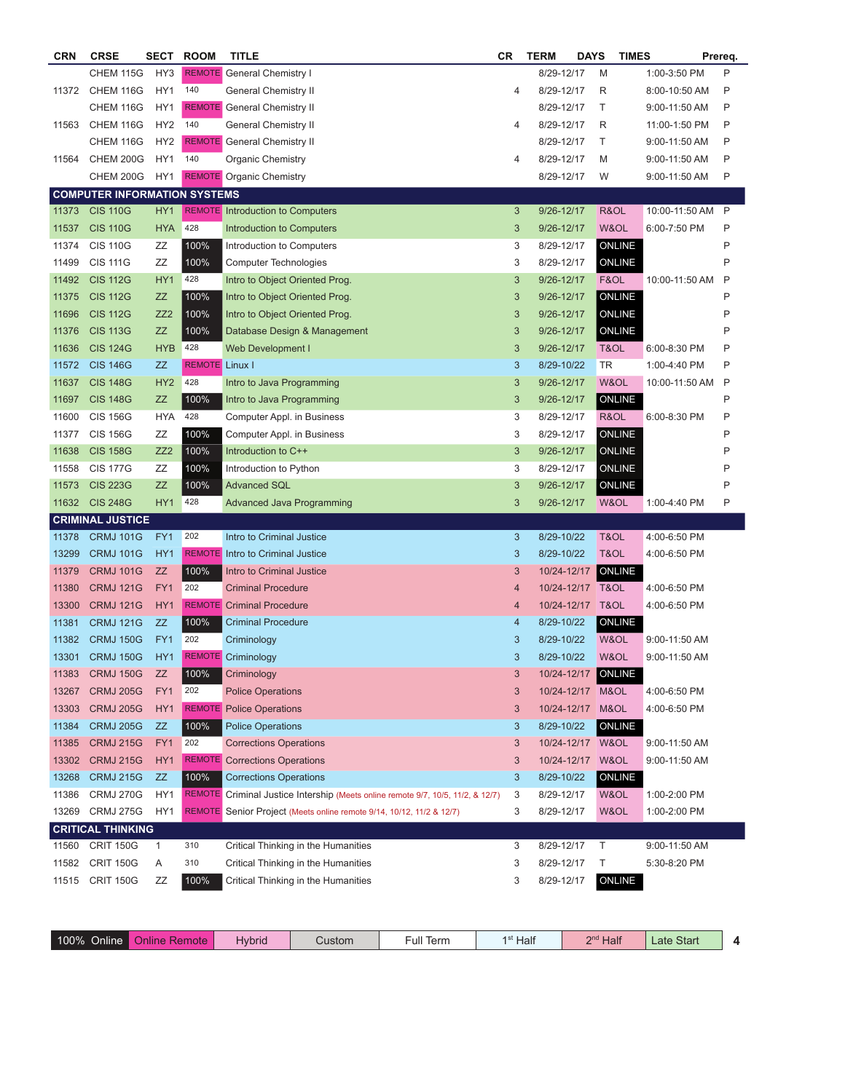| <b>CRN</b> | <b>CRSE</b>                                 | SECT            | <b>ROOM</b>           | <b>TITLE</b>                                                                    | <b>CR</b>  | <b>TERM</b> | <b>DAYS</b>      | <b>TIMES</b>   |                | Prereq.      |
|------------|---------------------------------------------|-----------------|-----------------------|---------------------------------------------------------------------------------|------------|-------------|------------------|----------------|----------------|--------------|
|            | CHEM 115G                                   | HY3             |                       | <b>REMOTE</b> General Chemistry I                                               |            | 8/29-12/17  |                  | M              | 1:00-3:50 PM   | P            |
| 11372      | CHEM 116G                                   | HY1             | 140                   | <b>General Chemistry II</b>                                                     | 4          | 8/29-12/17  |                  | R              | 8:00-10:50 AM  | P            |
|            | CHEM 116G                                   | HY1             |                       | <b>REMOTE</b> General Chemistry II                                              |            | 8/29-12/17  |                  | Т              | 9:00-11:50 AM  | P            |
| 11563      | CHEM 116G                                   | HY <sub>2</sub> | 140                   | General Chemistry II                                                            | 4          | 8/29-12/17  |                  | R              | 11:00-1:50 PM  | P            |
|            | CHEM 116G                                   | HY <sub>2</sub> |                       | <b>REMOTE</b> General Chemistry II                                              |            | 8/29-12/17  |                  | Т              | 9:00-11:50 AM  | P            |
| 11564      | <b>CHEM 200G</b>                            | HY1             | 140                   | <b>Organic Chemistry</b>                                                        | 4          | 8/29-12/17  |                  | M              | 9:00-11:50 AM  | P            |
|            | CHEM 200G                                   | HY1             |                       | <b>REMOTE</b> Organic Chemistry                                                 |            | 8/29-12/17  |                  | W              | 9:00-11:50 AM  | Ρ            |
|            | <b>COMPUTER INFORMATION SYSTEMS</b>         |                 |                       |                                                                                 |            |             |                  |                |                |              |
| 11373      | <b>CIS 110G</b>                             | HY1             |                       | <b>REMOTE</b> Introduction to Computers                                         | 3          | 9/26-12/17  |                  | R&OL           | 10:00-11:50 AM | $\mathsf{P}$ |
| 11537      | <b>CIS 110G</b>                             | <b>HYA</b>      | 428                   | <b>Introduction to Computers</b>                                                | 3          | 9/26-12/17  |                  | W&OL           | 6:00-7:50 PM   | P            |
| 11374      | <b>CIS 110G</b>                             | ΖZ              | 100%                  | Introduction to Computers                                                       | 3          | 8/29-12/17  |                  | ONLINE         |                | P            |
| 11499      | <b>CIS 111G</b>                             | ZZ              | 100%                  | Computer Technologies                                                           | 3          | 8/29-12/17  |                  | <b>ONLINE</b>  |                | P            |
| 11492      | <b>CIS 112G</b>                             | HY <sub>1</sub> | 428                   | Intro to Object Oriented Prog.                                                  | 3          | 9/26-12/17  |                  | F&OL           | 10:00-11:50 AM | P            |
| 11375      | <b>CIS 112G</b>                             | ZZ              | 100%                  | Intro to Object Oriented Prog.                                                  | 3          | 9/26-12/17  |                  | ONLINE         |                | P            |
| 11696      | <b>CIS 112G</b>                             | ZZ <sub>2</sub> | 100%                  | Intro to Object Oriented Prog.                                                  | 3          | 9/26-12/17  |                  | ONLINE         |                | P            |
| 11376      | <b>CIS 113G</b>                             | ZZ              | 100%                  | Database Design & Management                                                    | $\sqrt{3}$ | 9/26-12/17  |                  | ONLINE         |                | P            |
| 11636      | <b>CIS 124G</b>                             | <b>HYB</b>      | 428                   | <b>Web Development I</b>                                                        | $\sqrt{3}$ | 9/26-12/17  |                  | T&OL           | 6:00-8:30 PM   | P            |
| 11572      | <b>CIS 146G</b>                             | ZZ              | <b>REMOTE</b> Linux I |                                                                                 | 3          | 8/29-10/22  |                  | <b>TR</b>      | 1:00-4:40 PM   | P            |
| 11637      | <b>CIS 148G</b>                             | HY <sub>2</sub> | 428                   | Intro to Java Programming                                                       | 3          | 9/26-12/17  |                  | W&OL           | 10:00-11:50 AM | P            |
| 11697      | <b>CIS 148G</b>                             | <b>ZZ</b>       | 100%                  | Intro to Java Programming                                                       | $\sqrt{3}$ | 9/26-12/17  |                  | ONLINE         |                | Ρ            |
| 11600      | <b>CIS 156G</b>                             | <b>HYA</b>      | 428                   | Computer Appl. in Business                                                      | 3          | 8/29-12/17  |                  | R&OL           | 6:00-8:30 PM   | P            |
| 11377      | <b>CIS 156G</b>                             | ΖZ              | 100%                  | Computer Appl. in Business                                                      | 3          | 8/29-12/17  |                  | ONLINE         |                | P            |
| 11638      | <b>CIS 158G</b>                             | ZZ <sub>2</sub> | 100%                  | Introduction to C++                                                             | $\sqrt{3}$ | 9/26-12/17  |                  | <b>ONLINE</b>  |                | P            |
| 11558      | <b>CIS 177G</b>                             | ΖZ              | 100%                  | Introduction to Python                                                          | 3          | 8/29-12/17  |                  | <b>ONLINE</b>  |                | P            |
| 11573      | <b>CIS 223G</b>                             | <b>ZZ</b>       | 100%                  | <b>Advanced SQL</b>                                                             |            | 9/26-12/17  |                  |                |                | Ρ            |
| 11632      | <b>CIS 248G</b>                             | HY1             | 428                   |                                                                                 | 3<br>3     | 9/26-12/17  |                  | ONLINE<br>W&OL |                | P            |
|            |                                             |                 |                       | Advanced Java Programming                                                       |            |             |                  |                | 1:00-4:40 PM   |              |
| 11378      | <b>CRIMINAL JUSTICE</b><br><b>CRMJ 101G</b> | FY1             | 202                   | Intro to Criminal Justice                                                       | 3          | 8/29-10/22  |                  | T&OL           | 4:00-6:50 PM   |              |
| 13299      | <b>CRMJ 101G</b>                            | HY1             |                       | <b>REMOTE</b> Intro to Criminal Justice                                         | 3          | 8/29-10/22  |                  | T&OL           | 4:00-6:50 PM   |              |
| 11379      | <b>CRMJ 101G</b>                            | <b>ZZ</b>       | 100%                  | Intro to Criminal Justice                                                       | $\sqrt{3}$ | 10/24-12/17 |                  | <b>ONLINE</b>  |                |              |
|            |                                             |                 | 202                   |                                                                                 |            |             |                  |                |                |              |
| 11380      | <b>CRMJ 121G</b>                            | FY1             |                       | <b>Criminal Procedure</b>                                                       | 4          |             | 10/24-12/17 T&OL |                | 4:00-6:50 PM   |              |
| 13300      | <b>CRMJ 121G</b>                            | HY1             |                       | <b>REMOTE</b> Criminal Procedure                                                | 4          |             | 10/24-12/17 T&OL |                | 4:00-6:50 PM   |              |
| 11381      | <b>CRMJ 121G</b>                            | ZZ              | 100%                  | <b>Criminal Procedure</b>                                                       | 4          | 8/29-10/22  |                  | <b>ONLINE</b>  |                |              |
| 11382      | <b>CRMJ 150G</b>                            | FY1             | 202                   | Criminology                                                                     | 3          | 8/29-10/22  |                  | W&OL           | 9:00-11:50 AM  |              |
| 13301      | <b>CRMJ 150G</b>                            | HY1             |                       | <b>REMOTE</b> Criminology                                                       | 3          | 8/29-10/22  |                  | W&OL           | 9:00-11:50 AM  |              |
| 11383      | <b>CRMJ 150G</b>                            | ZZ              | 100%                  | Criminology                                                                     | 3          | 10/24-12/17 |                  | <b>ONLINE</b>  |                |              |
| 13267      | <b>CRMJ 205G</b>                            | FY1             | 202                   | <b>Police Operations</b>                                                        | 3          |             | 10/24-12/17 M&OL |                | 4:00-6:50 PM   |              |
| 13303      | <b>CRMJ 205G</b>                            | HY1             |                       | <b>REMOTE</b> Police Operations                                                 | 3          | 10/24-12/17 |                  | M&OL           | 4:00-6:50 PM   |              |
| 11384      | <b>CRMJ 205G</b>                            | ZZ              | 100%                  | <b>Police Operations</b>                                                        | 3          | 8/29-10/22  |                  | <b>ONLINE</b>  |                |              |
| 11385      | <b>CRMJ 215G</b>                            | FY1             | 202                   | <b>Corrections Operations</b>                                                   | 3          |             | 10/24-12/17 W&OL |                | 9:00-11:50 AM  |              |
| 13302      | <b>CRMJ 215G</b>                            | HY <sub>1</sub> |                       | <b>REMOTE</b> Corrections Operations                                            | 3          | 10/24-12/17 |                  | W&OL           | 9:00-11:50 AM  |              |
| 13268      | <b>CRMJ 215G</b>                            | ZZ              | 100%                  | <b>Corrections Operations</b>                                                   | 3          | 8/29-10/22  |                  | <b>ONLINE</b>  |                |              |
| 11386      | <b>CRMJ 270G</b>                            | HY1             |                       | REMOTE Criminal Justice Intership (Meets online remote 9/7, 10/5, 11/2, & 12/7) | 3          | 8/29-12/17  |                  | W&OL           | 1:00-2:00 PM   |              |
| 13269      | <b>CRMJ 275G</b>                            | HY1             |                       | REMOTE Senior Project (Meets online remote 9/14, 10/12, 11/2 & 12/7)            | 3          | 8/29-12/17  |                  | W&OL           | 1:00-2:00 PM   |              |
|            | <b>CRITICAL THINKING</b>                    |                 |                       |                                                                                 |            |             |                  |                |                |              |
| 11560      | <b>CRIT 150G</b>                            | $\mathbf{1}$    | 310                   | Critical Thinking in the Humanities                                             | 3          | 8/29-12/17  |                  | Τ              | 9:00-11:50 AM  |              |
| 11582      | <b>CRIT 150G</b>                            | Α               | 310                   | Critical Thinking in the Humanities                                             | 3          | 8/29-12/17  |                  | Т              | 5:30-8:20 PM   |              |
| 11515      | <b>CRIT 150G</b>                            | ΖZ              | 100%                  | Critical Thinking in the Humanities                                             | 3          | 8/29-12/17  |                  | ONLINE         |                |              |
|            |                                             |                 |                       |                                                                                 |            |             |                  |                |                |              |

| $\epsilon$ ull $\tau$<br>Half<br>$100\%$<br>2nc<br>Start<br>Hybria<br>Dnline.<br>Hali<br>Term<br>Custom<br>mote<br>_ate<br>Jnline<br>. .<br>$\cdot$ |
|-----------------------------------------------------------------------------------------------------------------------------------------------------|
|-----------------------------------------------------------------------------------------------------------------------------------------------------|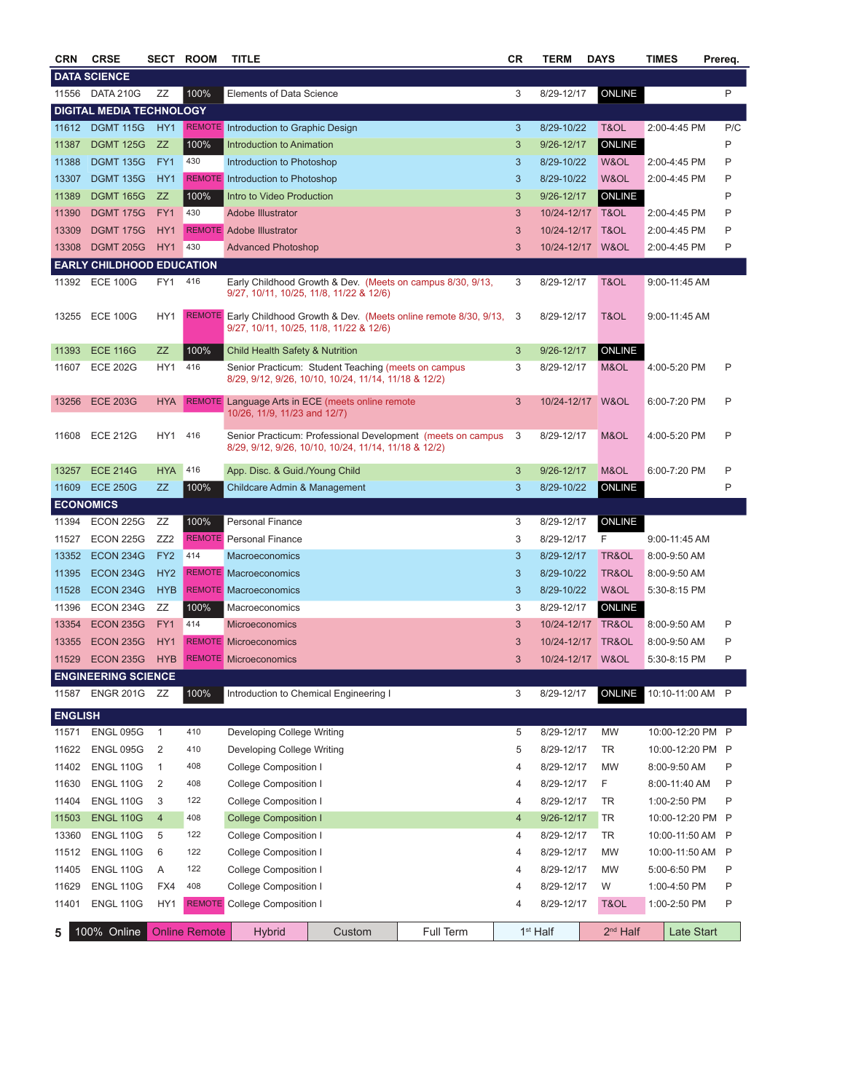| <b>CRN</b>       | <b>CRSE</b>                      |                 | <b>SECT ROOM</b>     | <b>TITLE</b>                                 |                                                                                                                     |                                                                         | СR           | TERM                 | <b>DAYS</b>        | TIMES            | Prereq. |
|------------------|----------------------------------|-----------------|----------------------|----------------------------------------------|---------------------------------------------------------------------------------------------------------------------|-------------------------------------------------------------------------|--------------|----------------------|--------------------|------------------|---------|
|                  | <b>DATA SCIENCE</b>              |                 |                      |                                              |                                                                                                                     |                                                                         |              |                      |                    |                  |         |
| 11556            | DATA 210G                        | ΖZ              | 100%                 | Elements of Data Science                     |                                                                                                                     |                                                                         | 3            | 8/29-12/17           | <b>ONLINE</b>      |                  | P       |
|                  | <b>DIGITAL MEDIA TECHNOLOGY</b>  |                 |                      |                                              |                                                                                                                     |                                                                         |              |                      |                    |                  |         |
| 11612            | <b>DGMT 115G</b>                 | HY <sub>1</sub> |                      | <b>REMOTE</b> Introduction to Graphic Design |                                                                                                                     |                                                                         | 3            | 8/29-10/22           | T&OL               | 2:00-4:45 PM     | P/C     |
| 11387            | <b>DGMT 125G</b>                 | ZZ              | 100%                 | Introduction to Animation                    |                                                                                                                     |                                                                         | 3            | 9/26-12/17           | ONLINE             |                  | P       |
| 11388            | <b>DGMT 135G</b>                 | FY1             | 430                  | Introduction to Photoshop                    |                                                                                                                     |                                                                         | 3            | 8/29-10/22           | W&OL               | 2:00-4:45 PM     | P       |
| 13307            | <b>DGMT 135G</b>                 | HY <sub>1</sub> |                      | <b>REMOTE</b> Introduction to Photoshop      |                                                                                                                     |                                                                         | 3            | 8/29-10/22           | W&OL               | 2:00-4:45 PM     | Ρ       |
| 11389            | <b>DGMT 165G</b>                 | ZZ              | 100%                 | Intro to Video Production                    |                                                                                                                     |                                                                         | $\mathbf{3}$ | 9/26-12/17           | ONLINE             |                  | P       |
| 11390            | <b>DGMT 175G</b>                 | FY1             | 430                  | Adobe Illustrator                            |                                                                                                                     |                                                                         | 3            | 10/24-12/17 T&OL     |                    | 2:00-4:45 PM     | P       |
| 13309            | <b>DGMT 175G</b>                 | HY <sub>1</sub> |                      | <b>REMOTE</b> Adobe Illustrator              |                                                                                                                     |                                                                         | $\mathbf{3}$ | 10/24-12/17 T&OL     |                    | 2:00-4:45 PM     | Ρ       |
| 13308            | <b>DGMT 205G</b>                 | HY <sub>1</sub> | 430                  | <b>Advanced Photoshop</b>                    |                                                                                                                     |                                                                         | 3            |                      | 10/24-12/17 W&OL   | 2:00-4:45 PM     | Ρ       |
|                  | <b>EARLY CHILDHOOD EDUCATION</b> |                 |                      |                                              |                                                                                                                     |                                                                         |              |                      |                    |                  |         |
| 11392            | <b>ECE 100G</b>                  | FY1             | 416                  |                                              | 9/27, 10/11, 10/25, 11/8, 11/22 & 12/6)                                                                             | Early Childhood Growth & Dev. (Meets on campus 8/30, 9/13,              | 3            | 8/29-12/17           | T&OL               | 9:00-11:45 AM    |         |
| 13255            | <b>ECE 100G</b>                  | HY1             |                      |                                              | 9/27, 10/11, 10/25, 11/8, 11/22 & 12/6)                                                                             | REMOTE Early Childhood Growth & Dev. (Meets online remote 8/30, 9/13, 3 |              | 8/29-12/17           | T&OL               | 9:00-11:45 AM    |         |
| 11393            | <b>ECE 116G</b>                  | <b>ZZ</b>       | 100%                 | Child Health Safety & Nutrition              |                                                                                                                     |                                                                         | 3            | 9/26-12/17           | ONLINE             |                  |         |
| 11607            | <b>ECE 202G</b>                  | HY1             | 416                  |                                              | Senior Practicum: Student Teaching (meets on campus<br>8/29, 9/12, 9/26, 10/10, 10/24, 11/14, 11/18 & 12/2)         |                                                                         | 3            | 8/29-12/17           | M&OL               | 4:00-5:20 PM     | P       |
| 13256            | <b>ECE 203G</b>                  | <b>HYA</b>      |                      | 10/26, 11/9, 11/23 and 12/7)                 | REMOTE Language Arts in ECE (meets online remote                                                                    |                                                                         | 3            |                      | 10/24-12/17 W&OL   | 6:00-7:20 PM     | P       |
| 11608            | <b>ECE 212G</b>                  | HY1             | 416                  |                                              | Senior Practicum: Professional Development (meets on campus<br>8/29, 9/12, 9/26, 10/10, 10/24, 11/14, 11/18 & 12/2) |                                                                         |              |                      | 8/29-12/17<br>M&OL | 4:00-5:20 PM     | P       |
| 13257            | <b>ECE 214G</b>                  | <b>HYA</b>      | 416                  |                                              | App. Disc. & Guid./Young Child                                                                                      |                                                                         |              | 9/26-12/17           | M&OL               | 6:00-7:20 PM     | P       |
| 11609            | <b>ECE 250G</b>                  | ZZ              | 100%                 |                                              | Childcare Admin & Management                                                                                        |                                                                         |              | 8/29-10/22           | ONLINE             |                  | Ρ       |
| <b>ECONOMICS</b> |                                  |                 |                      |                                              |                                                                                                                     |                                                                         |              |                      |                    |                  |         |
| 11394            | <b>ECON 225G</b>                 | ZZ              | 100%                 | <b>Personal Finance</b>                      |                                                                                                                     |                                                                         | 3            | 8/29-12/17           | ONLINE             |                  |         |
| 11527            | <b>ECON 225G</b>                 | ZZ <sub>2</sub> |                      | <b>REMOTE</b> Personal Finance               |                                                                                                                     |                                                                         | 3            | 8/29-12/17           | F                  | 9:00-11:45 AM    |         |
| 13352            | <b>ECON 234G</b>                 | FY <sub>2</sub> | 414                  | Macroeconomics                               |                                                                                                                     |                                                                         | 3            | 8/29-12/17           | TR&OL              | 8:00-9:50 AM     |         |
| 11395            | <b>ECON 234G</b>                 | HY <sub>2</sub> |                      | <b>REMOTE</b> Macroeconomics                 |                                                                                                                     |                                                                         | 3            | 8/29-10/22           | TR&OL              | 8:00-9:50 AM     |         |
| 11528            | <b>ECON 234G</b>                 | <b>HYB</b>      |                      | <b>REMOTE</b> Macroeconomics                 |                                                                                                                     |                                                                         | 3            | 8/29-10/22           | W&OL               | 5:30-8:15 PM     |         |
| 11396            | ECON 234G                        | ΖZ              | 100%                 | Macroeconomics                               |                                                                                                                     |                                                                         | 3            | 8/29-12/17           | ONLINE             |                  |         |
| 13354            | <b>ECON 235G</b>                 | FY1             | 414                  | <b>Microeconomics</b>                        |                                                                                                                     |                                                                         | 3            |                      | 10/24-12/17 TR&OL  | 8:00-9:50 AM     | P       |
| 13355            | ECON 235G                        | HY <sub>1</sub> |                      | <b>REMOTE Microeconomics</b>                 |                                                                                                                     |                                                                         | 3            |                      | 10/24-12/17 TR&OL  | 8:00-9:50 AM     | Ρ       |
| 11529            | <b>ECON 235G</b>                 | <b>HYB</b>      |                      | <b>REMOTE</b> Microeconomics                 |                                                                                                                     |                                                                         | 3            |                      | 10/24-12/17 W&OL   | 5:30-8:15 PM     | P       |
|                  | <b>ENGINEERING SCIENCE</b>       |                 |                      |                                              |                                                                                                                     |                                                                         |              |                      |                    |                  |         |
| 11587            | ENGR 201G ZZ                     |                 | 100%                 |                                              | Introduction to Chemical Engineering I                                                                              |                                                                         | 3            | 8/29-12/17           | ONLINE             | 10:10-11:00 AM P |         |
| <b>ENGLISH</b>   |                                  |                 |                      |                                              |                                                                                                                     |                                                                         |              |                      |                    |                  |         |
| 11571            | <b>ENGL 095G</b>                 | $\mathbf{1}$    | 410                  | Developing College Writing                   |                                                                                                                     |                                                                         | 5            | 8/29-12/17           | <b>MW</b>          | 10:00-12:20 PM P |         |
| 11622            | <b>ENGL 095G</b>                 | $\overline{2}$  | 410                  | Developing College Writing                   |                                                                                                                     |                                                                         | 5            | 8/29-12/17           | TR                 | 10:00-12:20 PM P |         |
| 11402            | <b>ENGL 110G</b>                 | 1               | 408                  | <b>College Composition I</b>                 |                                                                                                                     |                                                                         | 4            | 8/29-12/17           | <b>MW</b>          | 8:00-9:50 AM     | P       |
| 11630            | <b>ENGL 110G</b>                 | $\overline{2}$  | 408                  | <b>College Composition I</b>                 |                                                                                                                     |                                                                         | 4            | 8/29-12/17           | F                  | 8:00-11:40 AM    | P       |
| 11404            | <b>ENGL 110G</b>                 | 3               | 122                  | <b>College Composition I</b>                 |                                                                                                                     |                                                                         | 4            | 8/29-12/17           | TR                 | 1:00-2:50 PM     | P       |
| 11503            | <b>ENGL 110G</b>                 | $\overline{4}$  | 408                  | <b>College Composition I</b>                 |                                                                                                                     |                                                                         | 4            | 9/26-12/17           | <b>TR</b>          | 10:00-12:20 PM P |         |
| 13360            | <b>ENGL 110G</b>                 | 5               | 122                  | College Composition I                        |                                                                                                                     |                                                                         | 4            | 8/29-12/17           | TR                 | 10:00-11:50 AM P |         |
| 11512            | <b>ENGL 110G</b>                 | 6               | 122                  | College Composition I                        |                                                                                                                     |                                                                         | 4            | 8/29-12/17           | MW                 | 10:00-11:50 AM P |         |
| 11405            | <b>ENGL 110G</b>                 | Α               | 122                  | <b>College Composition I</b>                 |                                                                                                                     |                                                                         | 4            | 8/29-12/17           | <b>MW</b>          | 5:00-6:50 PM     | P       |
| 11629            | <b>ENGL 110G</b>                 | FX4             | 408                  | <b>College Composition I</b>                 |                                                                                                                     |                                                                         | 4            | 8/29-12/17           | W                  | 1:00-4:50 PM     | P       |
| 11401            | <b>ENGL 110G</b>                 | HY1             |                      | <b>REMOTE</b> College Composition I          |                                                                                                                     |                                                                         | 4            | 8/29-12/17           | T&OL               | 1:00-2:50 PM     | P       |
| 5                | 100% Online                      |                 | <b>Online Remote</b> | <b>Hybrid</b><br>Custom                      |                                                                                                                     | Full Term                                                               |              | 1 <sup>st</sup> Half | $2nd$ Half         | Late Start       |         |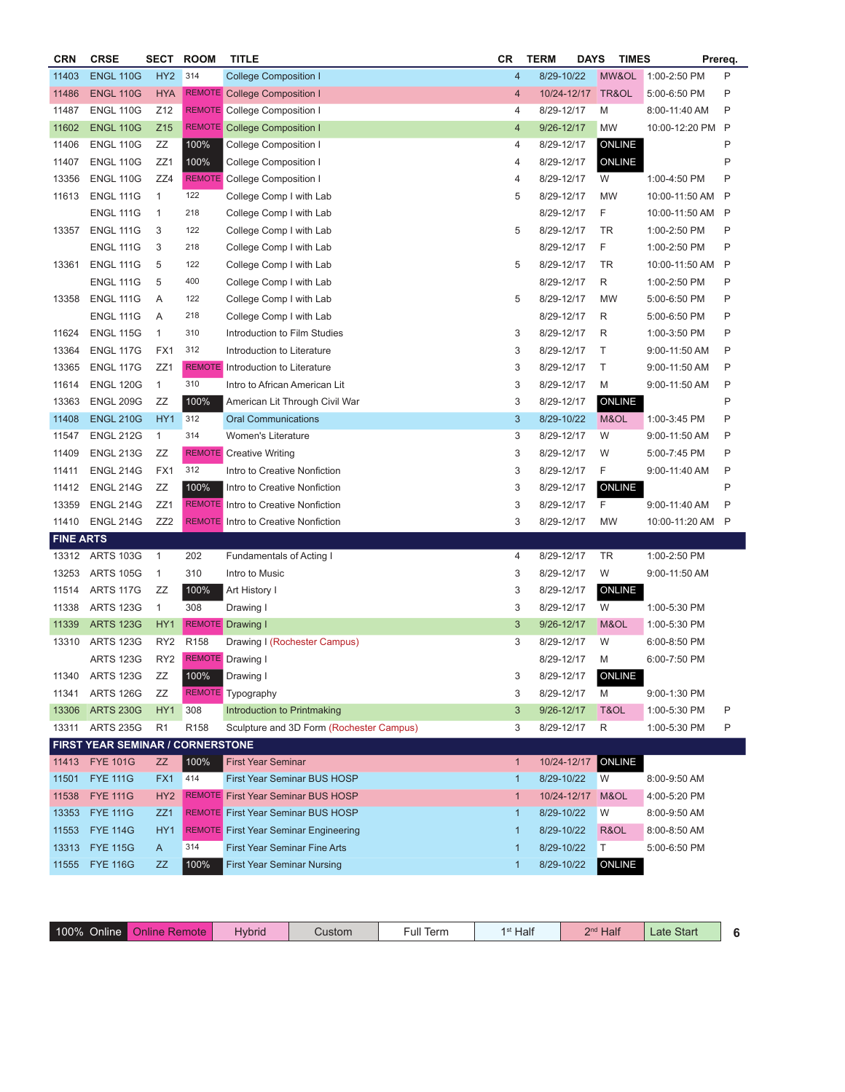| <b>CRN</b>       | <b>CRSE</b>                      | <b>SECT</b>     | <b>ROOM</b>      | <b>TITLE</b>                                 |                           | <b>TERM</b> | <b>DAYS</b> | <b>TIMES</b>  |                  | Prereq. |
|------------------|----------------------------------|-----------------|------------------|----------------------------------------------|---------------------------|-------------|-------------|---------------|------------------|---------|
| 11403            | <b>ENGL 110G</b>                 | HY <sub>2</sub> | 314              | <b>College Composition I</b>                 | $\overline{4}$            | 8/29-10/22  |             | MW&OL         | 1:00-2:50 PM     | P       |
| 11486            | <b>ENGL 110G</b>                 | <b>HYA</b>      |                  | REMOTE College Composition I                 | $\overline{4}$            | 10/24-12/17 |             | TR&OL         | 5:00-6:50 PM     | P       |
| 11487            | <b>ENGL 110G</b>                 | Z12             |                  | <b>REMOTE</b> College Composition I          | 4                         | 8/29-12/17  | M           |               | 8:00-11:40 AM    | Ρ       |
| 11602            | <b>ENGL 110G</b>                 | Z <sub>15</sub> |                  | <b>REMOTE</b> College Composition I          | $\overline{4}$            | 9/26-12/17  | <b>MW</b>   |               | 10:00-12:20 PM P |         |
| 11406            | <b>ENGL 110G</b>                 | ZZ              | 100%             | College Composition I                        | 4                         | 8/29-12/17  |             | ONLINE        |                  | P       |
| 11407            | <b>ENGL 110G</b>                 | ZZ1             | 100%             | College Composition I                        | 4                         | 8/29-12/17  |             | ONLINE        |                  | P       |
| 13356            | <b>ENGL 110G</b>                 | ZZ4             |                  | <b>REMOTE</b> College Composition I          | 4                         | 8/29-12/17  | W           |               | 1:00-4:50 PM     | P       |
| 11613            | <b>ENGL 111G</b>                 | $\mathbf{1}$    | 122              | College Comp I with Lab                      | 5                         | 8/29-12/17  | <b>MW</b>   |               | 10:00-11:50 AM   | P       |
|                  | <b>ENGL 111G</b>                 | $\mathbf{1}$    | 218              | College Comp I with Lab                      |                           | 8/29-12/17  | F           |               | 10:00-11:50 AM   | P       |
| 13357            | <b>ENGL 111G</b>                 | 3               | 122              | College Comp I with Lab                      | 5                         | 8/29-12/17  | TR          |               | 1:00-2:50 PM     | Ρ       |
|                  | <b>ENGL 111G</b>                 | 3               | 218              | College Comp I with Lab                      |                           | 8/29-12/17  | F           |               | 1:00-2:50 PM     | P       |
| 13361            | <b>ENGL 111G</b>                 | 5               | 122              | College Comp I with Lab                      | 5                         | 8/29-12/17  | <b>TR</b>   |               | 10:00-11:50 AM   | P       |
|                  | <b>ENGL 111G</b>                 | 5               | 400              | College Comp I with Lab                      |                           | 8/29-12/17  | R           |               | 1:00-2:50 PM     | Ρ       |
| 13358            | <b>ENGL 111G</b>                 | A               | 122              | College Comp I with Lab                      |                           | 8/29-12/17  | <b>MW</b>   |               | 5:00-6:50 PM     | P       |
|                  | <b>ENGL 111G</b>                 | A               | 218              | College Comp I with Lab                      |                           | 8/29-12/17  | R           |               | 5:00-6:50 PM     | P       |
| 11624            | <b>ENGL 115G</b>                 | $\mathbf{1}$    | 310              | Introduction to Film Studies                 | 3                         | 8/29-12/17  | R           |               | 1:00-3:50 PM     | P       |
| 13364            | <b>ENGL 117G</b>                 | FX1             | 312              | Introduction to Literature                   | 3                         | 8/29-12/17  | Τ           |               | 9:00-11:50 AM    | Ρ       |
| 13365            | <b>ENGL 117G</b>                 | ZZ <sub>1</sub> |                  | <b>REMOTE</b> Introduction to Literature     | 3                         | 8/29-12/17  | Τ           |               | 9:00-11:50 AM    | Ρ       |
| 11614            | <b>ENGL 120G</b>                 | $\mathbf{1}$    | 310              | Intro to African American Lit                | 3                         | 8/29-12/17  | M           |               | 9:00-11:50 AM    | P       |
| 13363            | <b>ENGL 209G</b>                 | ZZ              | 100%             | American Lit Through Civil War               | $\ensuremath{\mathsf{3}}$ | 8/29-12/17  |             | ONLINE        |                  | P       |
| 11408            | <b>ENGL 210G</b>                 | HY <sub>1</sub> | 312              | <b>Oral Communications</b>                   | $\mathbf{3}$              | 8/29-10/22  |             | M&OL          | 1:00-3:45 PM     | P       |
| 11547            | <b>ENGL 212G</b>                 | $\mathbf{1}$    | 314              | Women's Literature                           | 3                         | 8/29-12/17  | W           |               | 9:00-11:50 AM    | P       |
| 11409            | <b>ENGL 213G</b>                 | ZZ              |                  | <b>REMOTE</b> Creative Writing               | 3                         | 8/29-12/17  | W           |               | 5:00-7:45 PM     | Ρ       |
| 11411            | <b>ENGL 214G</b>                 | FX1             | 312              | Intro to Creative Nonfiction                 | 3                         | 8/29-12/17  | F           |               | 9:00-11:40 AM    | P       |
| 11412            | <b>ENGL 214G</b>                 | ZZ              | 100%             | Intro to Creative Nonfiction                 | 3                         | 8/29-12/17  |             | ONLINE        |                  | P       |
| 13359            | <b>ENGL 214G</b>                 | ZZ1             |                  | <b>REMOTE</b> Intro to Creative Nonfiction   | 3                         | 8/29-12/17  | F           |               | 9:00-11:40 AM    | P       |
| 11410            | <b>ENGL 214G</b>                 | ZZ <sub>2</sub> |                  | <b>REMOTE</b> Intro to Creative Nonfiction   | 3                         | 8/29-12/17  | <b>MW</b>   |               | 10:00-11:20 AM P |         |
| <b>FINE ARTS</b> |                                  |                 |                  |                                              |                           |             |             |               |                  |         |
| 13312            | <b>ARTS 103G</b>                 | $\mathbf{1}$    | 202              | Fundamentals of Acting I                     | 4                         | 8/29-12/17  | <b>TR</b>   |               | 1:00-2:50 PM     |         |
| 13253            | <b>ARTS 105G</b>                 | $\mathbf{1}$    | 310              | Intro to Music                               | 3                         | 8/29-12/17  | W           |               | 9:00-11:50 AM    |         |
| 11514            | <b>ARTS 117G</b>                 | ZZ              | 100%             | Art History I                                | 3                         | 8/29-12/17  |             | ONLINE        |                  |         |
| 11338            | <b>ARTS 123G</b>                 | $\mathbf{1}$    | 308              | Drawing I                                    | 3                         | 8/29-12/17  | W           |               | 1:00-5:30 PM     |         |
| 11339            | <b>ARTS 123G</b>                 | HY1             |                  | <b>REMOTE</b> Drawing I                      | 3                         | 9/26-12/17  |             | M&OL          | 1:00-5:30 PM     |         |
| 13310            | <b>ARTS 123G</b>                 | RY <sub>2</sub> | R <sub>158</sub> | Drawing I (Rochester Campus)                 | 3                         | 8/29-12/17  | W           |               | 6:00-8:50 PM     |         |
|                  | <b>ARTS 123G</b>                 | RY <sub>2</sub> |                  | <b>REMOTE</b> Drawing I                      |                           | 8/29-12/17  | M           |               | 6:00-7:50 PM     |         |
| 11340            | <b>ARTS 123G</b>                 | ΖZ              | 100%             | Drawing I                                    | 3                         | 8/29-12/17  |             | <b>ONLINE</b> |                  |         |
| 11341            | <b>ARTS 126G</b>                 | ZZ              |                  | <b>REMOTE</b> Typography                     | 3                         | 8/29-12/17  | M           |               | 9:00-1:30 PM     |         |
| 13306            | <b>ARTS 230G</b>                 | HY1             | 308              | Introduction to Printmaking                  | 3                         | 9/26-12/17  |             | T&OL          | 1:00-5:30 PM     | P       |
| 13311            | <b>ARTS 235G</b>                 | R <sub>1</sub>  | R <sub>158</sub> | Sculpture and 3D Form (Rochester Campus)     | 3                         | 8/29-12/17  | R           |               | 1:00-5:30 PM     | Ρ       |
|                  | FIRST YEAR SEMINAR / CORNERSTONE |                 |                  |                                              |                           |             |             |               |                  |         |
| 11413            | <b>FYE 101G</b>                  | ZZ              | 100%             | <b>First Year Seminar</b>                    | $\mathbf{1}$              | 10/24-12/17 |             | <b>ONLINE</b> |                  |         |
| 11501            | <b>FYE 111G</b>                  | FX1             | 414              | <b>First Year Seminar BUS HOSP</b>           | $\mathbf{1}$              | 8/29-10/22  | W           |               | 8:00-9:50 AM     |         |
| 11538            | <b>FYE 111G</b>                  | HY <sub>2</sub> |                  | <b>REMOTE</b> First Year Seminar BUS HOSP    | $\mathbf{1}$              | 10/24-12/17 |             | M&OL          | 4:00-5:20 PM     |         |
| 13353            | <b>FYE 111G</b>                  | ZZ1             |                  | <b>REMOTE</b> First Year Seminar BUS HOSP    | $\mathbf{1}$              | 8/29-10/22  | W           |               | 8:00-9:50 AM     |         |
| 11553            | <b>FYE 114G</b>                  | HY1             |                  | <b>REMOTE</b> First Year Seminar Engineering | $\mathbf{1}$              | 8/29-10/22  |             | R&OL          | 8:00-8:50 AM     |         |
| 13313            | <b>FYE 115G</b>                  | A               | 314              | <b>First Year Seminar Fine Arts</b>          | $\mathbf{1}$              | 8/29-10/22  | Τ           |               | 5:00-6:50 PM     |         |
| 11555            | <b>FYE 116G</b>                  | <b>ZZ</b>       | 100%             | <b>First Year Seminar Nursing</b>            | $\mathbf{1}$              | 8/29-10/22  |             | ONLINE        |                  |         |

| $100\%$<br>. .<br>$\text{-}$ ull $\text{-}$<br>$\Omega$ nd<br>Start<br>Half<br>$4$ st L<br><b>Half</b><br><b>Hybrig</b><br>⊃nlıne '<br>Custom<br><b>Remote</b><br>lerm<br>_ate<br>⊿n⊯ |
|---------------------------------------------------------------------------------------------------------------------------------------------------------------------------------------|
|---------------------------------------------------------------------------------------------------------------------------------------------------------------------------------------|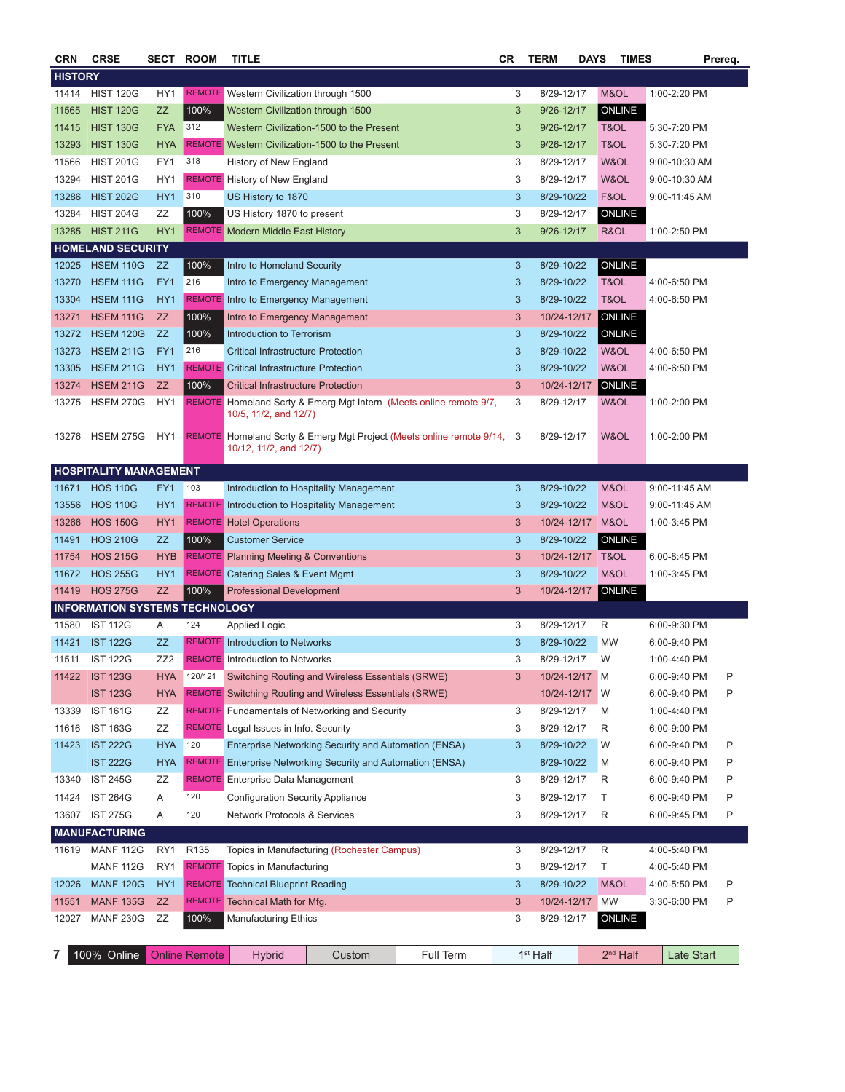| <b>CRN</b>     | <b>CRSE</b>                           |                 | <b>SECT ROOM</b>     | <b>TITLE</b>                                     |                                                                    |                                                                        | CR           | <b>TERM</b>          | <b>DAYS</b>      | <b>TIMES</b> |                   | Prereq. |
|----------------|---------------------------------------|-----------------|----------------------|--------------------------------------------------|--------------------------------------------------------------------|------------------------------------------------------------------------|--------------|----------------------|------------------|--------------|-------------------|---------|
| <b>HISTORY</b> |                                       |                 |                      |                                                  |                                                                    |                                                                        |              |                      |                  |              |                   |         |
| 11414          | <b>HIST 120G</b>                      | HY1             |                      | REMOTE Western Civilization through 1500         |                                                                    |                                                                        | 3            | 8/29-12/17           | M&OL             |              | 1:00-2:20 PM      |         |
| 11565          | <b>HIST 120G</b>                      | ZZ              | 100%                 | Western Civilization through 1500                |                                                                    |                                                                        | 3            | 9/26-12/17           | ONLINE           |              |                   |         |
| 11415          | <b>HIST 130G</b>                      | <b>FYA</b>      | 312                  |                                                  | Western Civilization-1500 to the Present                           |                                                                        | 3            | 9/26-12/17           | T&OL             |              | 5:30-7:20 PM      |         |
| 13293          | <b>HIST 130G</b>                      | <b>HYA</b>      |                      |                                                  | REMOTE Western Civilization-1500 to the Present                    |                                                                        | 3            | 9/26-12/17           | T&OL             |              | 5:30-7:20 PM      |         |
| 11566          | <b>HIST 201G</b>                      | FY1             | 318                  | History of New England                           |                                                                    |                                                                        | 3            | 8/29-12/17           | W&OL             |              | 9:00-10:30 AM     |         |
| 13294          | <b>HIST 201G</b>                      | HY <sub>1</sub> |                      | <b>REMOTE</b> History of New England             |                                                                    |                                                                        | 3            | 8/29-12/17           | W&OL             |              | 9:00-10:30 AM     |         |
| 13286          | <b>HIST 202G</b>                      | HY <sub>1</sub> | 310                  | US History to 1870                               |                                                                    |                                                                        | 3            | 8/29-10/22           | F&OL             |              | $9:00 - 11:45$ AM |         |
| 13284          | <b>HIST 204G</b>                      | ΖZ              | 100%                 | US History 1870 to present                       |                                                                    |                                                                        | 3            | 8/29-12/17           | <b>ONLINE</b>    |              |                   |         |
| 13285          | <b>HIST 211G</b>                      | HY1             |                      | <b>REMOTE</b> Modern Middle East History         |                                                                    |                                                                        | 3            | 9/26-12/17           | R&OL             |              | 1:00-2:50 PM      |         |
|                | <b>HOMELAND SECURITY</b>              |                 |                      |                                                  |                                                                    |                                                                        |              |                      |                  |              |                   |         |
| 12025          | <b>HSEM 110G</b>                      | ZZ              | 100%                 | Intro to Homeland Security                       |                                                                    |                                                                        | 3            | 8/29-10/22           | ONLINE           |              |                   |         |
| 13270          | <b>HSEM 111G</b>                      | FY1             | 216                  | Intro to Emergency Management                    |                                                                    |                                                                        | 3            | 8/29-10/22           | T&OL             |              | 4:00-6:50 PM      |         |
| 13304          | <b>HSEM 111G</b>                      | HY1             |                      | <b>REMOTE</b> Intro to Emergency Management      |                                                                    |                                                                        | 3            | 8/29-10/22           | T&OL             |              | 4:00-6:50 PM      |         |
| 13271          | <b>HSEM 111G</b>                      | ZZ              | 100%                 | Intro to Emergency Management                    |                                                                    |                                                                        | 3            | 10/24-12/17          | ONLINE           |              |                   |         |
| 13272          | <b>HSEM 120G</b>                      | <b>ZZ</b>       | 100%                 | Introduction to Terrorism                        |                                                                    |                                                                        | 3            | 8/29-10/22           | <b>ONLINE</b>    |              |                   |         |
| 13273          | <b>HSEM 211G</b>                      | FY1             | 216                  | Critical Infrastructure Protection               |                                                                    |                                                                        | 3            | 8/29-10/22           | W&OL             |              | 4:00-6:50 PM      |         |
| 13305          | <b>HSEM 211G</b>                      | HY <sub>1</sub> | <b>REMOTE</b>        | <b>Critical Infrastructure Protection</b>        |                                                                    |                                                                        | $\sqrt{3}$   | 8/29-10/22           | W&OL             |              | 4:00-6:50 PM      |         |
| 13274          | <b>HSEM 211G</b>                      | ZZ              | 100%                 | <b>Critical Infrastructure Protection</b>        |                                                                    | $\mathbf{3}$                                                           | 10/24-12/17  | ONLINE               |                  |              |                   |         |
| 13275          | <b>HSEM 270G</b>                      | HY1             |                      | 10/5, 11/2, and 12/7)                            |                                                                    | REMOTE Homeland Scrty & Emerg Mgt Intern (Meets online remote 9/7,     | 3            | 8/29-12/17           | W&OL             |              | 1:00-2:00 PM      |         |
| 13276          | <b>HSEM 275G</b>                      | HY1             |                      | 10/12, 11/2, and 12/7)                           |                                                                    | REMOTE Homeland Scrty & Emerg Mgt Project (Meets online remote 9/14, 3 |              | 8/29-12/17           | W&OL             |              | 1:00-2:00 PM      |         |
|                | <b>HOSPITALITY MANAGEMENT</b>         |                 |                      |                                                  |                                                                    |                                                                        |              |                      |                  |              |                   |         |
| 11671          | <b>HOS 110G</b>                       | FY1             | 103                  |                                                  | Introduction to Hospitality Management                             |                                                                        | 3            | 8/29-10/22           | M&OL             |              | 9:00-11:45 AM     |         |
| 13556          | <b>HOS 110G</b>                       | HY <sub>1</sub> |                      |                                                  | <b>REMOTE</b> Introduction to Hospitality Management               |                                                                        | 3            | 8/29-10/22           | M&OL             |              | 9:00-11:45 AM     |         |
| 13266          | <b>HOS 150G</b>                       | HY <sub>1</sub> |                      | <b>REMOTE</b> Hotel Operations                   |                                                                    |                                                                        | 3            | 10/24-12/17          | M&OL             |              | 1:00-3:45 PM      |         |
| 11491          | <b>HOS 210G</b>                       | ZZ              | 100%                 | Customer Service                                 |                                                                    |                                                                        | 3            | 8/29-10/22           | ONLINE           |              |                   |         |
| 11754          | <b>HOS 215G</b>                       | <b>HYB</b>      |                      | <b>REMOTE Planning Meeting &amp; Conventions</b> |                                                                    |                                                                        | 3            |                      | 10/24-12/17 T&OL |              | 6:00-8:45 PM      |         |
| 11672          | <b>HOS 255G</b>                       | HY <sub>1</sub> | <b>REMOTE</b>        | Catering Sales & Event Mgmt                      |                                                                    |                                                                        | 3            | 8/29-10/22           | M&OL             |              | 1:00-3:45 PM      |         |
| 11419          | <b>HOS 275G</b>                       | ZZ              | 100%                 | <b>Professional Development</b>                  |                                                                    |                                                                        | 3            | 10/24-12/17          | ONLINE           |              |                   |         |
|                | <b>INFORMATION SYSTEMS TECHNOLOGY</b> |                 |                      |                                                  |                                                                    |                                                                        |              |                      |                  |              |                   |         |
| 11580          | <b>IST 112G</b>                       | Α               | 124                  | <b>Applied Logic</b>                             |                                                                    |                                                                        | 3            | 8/29-12/17           | R                |              | 6:00-9:30 PM      |         |
| 11421          | <b>IST 122G</b>                       | ZZ              |                      | <b>REMOTE</b> Introduction to Networks           |                                                                    |                                                                        | 3            | 8/29-10/22           | <b>MW</b>        |              | 6:00-9:40 PM      |         |
| 11511          | <b>IST 122G</b>                       | ZZ <sub>2</sub> |                      | <b>REMOTE</b> Introduction to Networks           |                                                                    |                                                                        | 3            | 8/29-12/17           | W                |              | 1:00-4:40 PM      |         |
| 11422          | <b>IST 123G</b>                       | <b>HYA</b>      | 120/121              |                                                  | Switching Routing and Wireless Essentials (SRWE)                   |                                                                        | 3            | 10/24-12/17          | M                |              | 6:00-9:40 PM      | P       |
|                | <b>IST 123G</b>                       | <b>HYA</b>      |                      |                                                  | <b>REMOTE</b> Switching Routing and Wireless Essentials (SRWE)     |                                                                        |              | 10/24-12/17          | W                |              | 6:00-9:40 PM      | P       |
| 13339          | <b>IST 161G</b>                       | ΖZ              |                      |                                                  | <b>REMOTE</b> Fundamentals of Networking and Security              |                                                                        | 3            | 8/29-12/17           | M                |              | 1:00-4:40 PM      |         |
| 11616          | <b>IST 163G</b>                       | ZZ              |                      | <b>REMOTE</b> Legal Issues in Info. Security     |                                                                    |                                                                        | 3            | 8/29-12/17           | R                |              | 6:00-9:00 PM      |         |
| 11423          | <b>IST 222G</b>                       | <b>HYA</b>      | 120                  |                                                  | Enterprise Networking Security and Automation (ENSA)               |                                                                        | 3            | 8/29-10/22           | W                |              | 6:00-9:40 PM      | P       |
|                | <b>IST 222G</b>                       | <b>HYA</b>      |                      |                                                  | <b>REMOTE</b> Enterprise Networking Security and Automation (ENSA) |                                                                        |              | 8/29-10/22           | M                |              | 6:00-9:40 PM      | Ρ       |
| 13340          | <b>IST 245G</b>                       | ZΖ              |                      | <b>REMOTE</b> Enterprise Data Management         |                                                                    |                                                                        | 3            | 8/29-12/17           | R                |              | 6:00-9:40 PM      | P       |
| 11424          | <b>IST 264G</b>                       | Α               | 120                  | <b>Configuration Security Appliance</b>          |                                                                    |                                                                        | 3            | 8/29-12/17           | Τ                |              | 6:00-9:40 PM      | Ρ       |
| 13607          | <b>IST 275G</b>                       | Α               | 120                  | <b>Network Protocols &amp; Services</b>          |                                                                    |                                                                        | 3            | 8/29-12/17           | R                |              | 6:00-9:45 PM      | Ρ       |
|                | <b>MANUFACTURING</b>                  |                 |                      |                                                  |                                                                    |                                                                        |              |                      |                  |              |                   |         |
| 11619          | <b>MANF 112G</b>                      | RY1             | R <sub>135</sub>     |                                                  | Topics in Manufacturing (Rochester Campus)                         |                                                                        | 3            | 8/29-12/17           | R                |              | 4:00-5:40 PM      |         |
|                | <b>MANF 112G</b>                      | RY1             |                      | <b>REMOTE</b> Topics in Manufacturing            |                                                                    |                                                                        | 3            | 8/29-12/17           | Т                |              | 4:00-5:40 PM      |         |
| 12026          | <b>MANF 120G</b>                      | HY1             |                      | <b>REMOTE</b> Technical Blueprint Reading        |                                                                    |                                                                        | $\mathbf{3}$ | 8/29-10/22           | M&OL             |              | 4:00-5:50 PM      | P       |
| 11551          | <b>MANF 135G</b>                      | ZZ              |                      | <b>REMOTE</b> Technical Math for Mfg.            |                                                                    |                                                                        | 3            | 10/24-12/17          | <b>MW</b>        |              | 3:30-6:00 PM      | P       |
| 12027          | <b>MANF 230G</b>                      | ΖZ              | 100%                 | Manufacturing Ethics                             |                                                                    |                                                                        | 3            | 8/29-12/17           | ONLINE           |              |                   |         |
| 7              | 100% Online                           |                 | <b>Online Remote</b> | <b>Hybrid</b>                                    | Custom                                                             | Full Term                                                              |              | 1 <sup>st</sup> Half |                  | $2nd$ Half   | <b>Late Start</b> |         |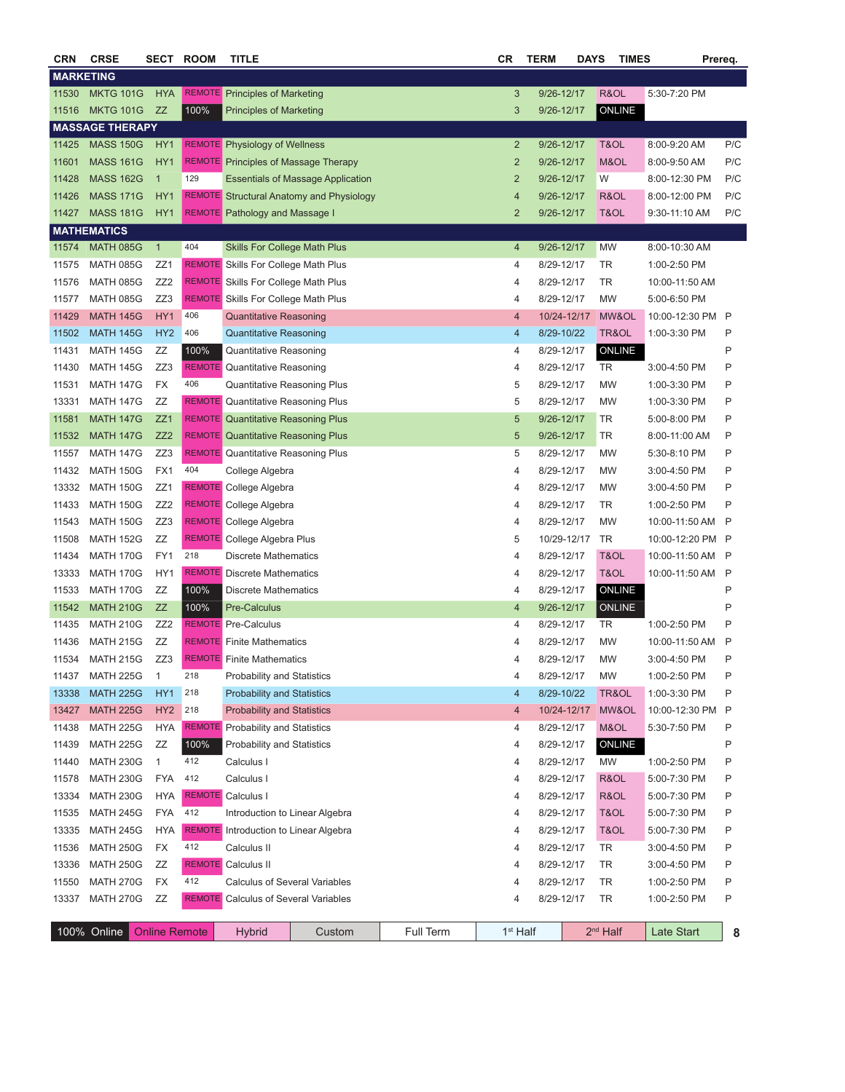| <b>CRN</b>       | <b>CRSE</b>            |                      | <b>SECT ROOM</b> | <b>TITLE</b>                                 |                                                 |           | CR                       | <b>TERM</b> | <b>DAYS</b> | <b>TIMES</b>  |                  | Prereq.      |
|------------------|------------------------|----------------------|------------------|----------------------------------------------|-------------------------------------------------|-----------|--------------------------|-------------|-------------|---------------|------------------|--------------|
| <b>MARKETING</b> |                        |                      |                  |                                              |                                                 |           |                          |             |             |               |                  |              |
| 11530            | <b>MKTG 101G</b>       | <b>HYA</b>           |                  | <b>REMOTE</b> Principles of Marketing        |                                                 |           | 3                        | 9/26-12/17  |             | R&OL          | 5:30-7:20 PM     |              |
| 11516            | <b>MKTG 101G</b>       | ZZ                   | 100%             | <b>Principles of Marketing</b>               |                                                 |           | $\sqrt{3}$               | 9/26-12/17  |             | ONLINE        |                  |              |
|                  | <b>MASSAGE THERAPY</b> |                      |                  |                                              |                                                 |           |                          |             |             |               |                  |              |
| 11425            | <b>MASS 150G</b>       | HY1                  |                  | <b>REMOTE</b> Physiology of Wellness         |                                                 |           | $\overline{2}$           | 9/26-12/17  |             | T&OL          | 8:00-9:20 AM     | P/C          |
| 11601            | <b>MASS 161G</b>       | HY <sub>1</sub>      |                  | <b>REMOTE</b> Principles of Massage Therapy  |                                                 |           | $\overline{2}$           | 9/26-12/17  |             | M&OL          | 8:00-9:50 AM     | P/C          |
| 11428            | <b>MASS 162G</b>       | $\overline{1}$       | 129              |                                              | <b>Essentials of Massage Application</b>        |           | $\overline{2}$           | 9/26-12/17  |             | W             | 8:00-12:30 PM    | P/C          |
| 11426            | <b>MASS 171G</b>       | HY1                  |                  |                                              | <b>REMOTE</b> Structural Anatomy and Physiology |           | $\overline{4}$           | 9/26-12/17  |             | R&OL          | 8:00-12:00 PM    | P/C          |
| 11427            | <b>MASS 181G</b>       | HY <sub>1</sub>      |                  | <b>REMOTE</b> Pathology and Massage I        |                                                 |           | $\overline{2}$           | 9/26-12/17  |             | T&OL          | $9:30-11:10$ AM  | P/C          |
|                  | <b>MATHEMATICS</b>     |                      |                  |                                              |                                                 |           |                          |             |             |               |                  |              |
| 11574            | <b>MATH 085G</b>       | $\mathbf{1}$         | 404              | Skills For College Math Plus                 |                                                 |           | 4                        | 9/26-12/17  |             | MW            | 8:00-10:30 AM    |              |
| 11575            | MATH 085G              | ZZ1                  |                  | <b>REMOTE</b> Skills For College Math Plus   |                                                 |           | 4                        | 8/29-12/17  |             | TR            | 1:00-2:50 PM     |              |
| 11576            | MATH 085G              | ZZ <sub>2</sub>      |                  | REMOTE Skills For College Math Plus          |                                                 |           | 4                        | 8/29-12/17  |             | TR            | 10:00-11:50 AM   |              |
| 11577            | <b>MATH 085G</b>       | ZZ3                  |                  | REMOTE Skills For College Math Plus          |                                                 |           | 4                        | 8/29-12/17  |             | <b>MW</b>     | 5:00-6:50 PM     |              |
| 11429            | <b>MATH 145G</b>       | HY <sub>1</sub>      | 406              | <b>Quantitative Reasoning</b>                |                                                 |           | $\overline{4}$           |             | 10/24-12/17 | MW&OL         | 10:00-12:30 PM P |              |
| 11502            | <b>MATH 145G</b>       | HY <sub>2</sub>      | 406              | <b>Quantitative Reasoning</b>                |                                                 |           | $\overline{4}$           | 8/29-10/22  |             | TR&OL         | 1:00-3:30 PM     | P            |
| 11431            | <b>MATH 145G</b>       | ZZ                   | 100%             | Quantitative Reasoning                       |                                                 |           | 4                        | 8/29-12/17  |             | ONLINE        |                  | P            |
| 11430            | <b>MATH 145G</b>       | ZZ3                  |                  | <b>REMOTE</b> Quantitative Reasoning         |                                                 |           | 4                        | 8/29-12/17  |             | TR            | 3:00-4:50 PM     | P            |
| 11531            | <b>MATH 147G</b>       | FX                   | 406              | <b>Quantitative Reasoning Plus</b>           |                                                 |           | 5                        | 8/29-12/17  |             | <b>MW</b>     | 1:00-3:30 PM     | P            |
| 13331            | <b>MATH 147G</b>       | ΖZ                   |                  | <b>REMOTE</b> Quantitative Reasoning Plus    |                                                 |           | 5                        | 8/29-12/17  |             | <b>MW</b>     | 1:00-3:30 PM     | P            |
| 11581            | <b>MATH 147G</b>       | ZZ1                  |                  | <b>REMOTE</b> Quantitative Reasoning Plus    |                                                 |           | $\sqrt{5}$               | 9/26-12/17  |             | TR            | 5:00-8:00 PM     | P            |
| 11532            | <b>MATH 147G</b>       | ZZ2                  |                  | <b>REMOTE</b> Quantitative Reasoning Plus    |                                                 |           | $\sqrt{5}$               | 9/26-12/17  |             | TR            | 8:00-11:00 AM    | P            |
| 11557            | <b>MATH 147G</b>       | ZZ3                  |                  | <b>REMOTE</b> Quantitative Reasoning Plus    |                                                 |           | 5                        | 8/29-12/17  |             | <b>MW</b>     | 5:30-8:10 PM     | P            |
| 11432            | <b>MATH 150G</b>       | FX1                  | 404              | College Algebra                              |                                                 |           | 4                        | 8/29-12/17  |             | <b>MW</b>     | 3:00-4:50 PM     | P            |
| 13332            | <b>MATH 150G</b>       | ZZ1                  |                  | REMOTE College Algebra                       |                                                 |           | 4                        | 8/29-12/17  |             | <b>MW</b>     | 3:00-4:50 PM     | P            |
| 11433            | <b>MATH 150G</b>       | ZZ <sub>2</sub>      |                  | <b>REMOTE</b> College Algebra                |                                                 |           | 4                        | 8/29-12/17  |             | TR            | 1:00-2:50 PM     | P            |
| 11543            | <b>MATH 150G</b>       | ZZ3                  |                  | <b>REMOTE</b> College Algebra                |                                                 |           | 4                        | 8/29-12/17  |             | <b>MW</b>     | 10:00-11:50 AM   | P            |
| 11508            | <b>MATH 152G</b>       | ZZ                   |                  | <b>REMOTE</b> College Algebra Plus           |                                                 |           | 5                        |             | 10/29-12/17 | <b>TR</b>     | 10:00-12:20 PM P |              |
| 11434            | <b>MATH 170G</b>       | FY1                  | 218              | <b>Discrete Mathematics</b>                  |                                                 |           | 4                        | 8/29-12/17  |             | T&OL          | 10:00-11:50 AM   | $\mathsf{P}$ |
| 13333            | <b>MATH 170G</b>       | HY1                  |                  | <b>REMOTE</b> Discrete Mathematics           |                                                 |           | 4                        | 8/29-12/17  |             | T&OL          | 10:00-11:50 AM   | P            |
| 11533            | <b>MATH 170G</b>       | ZZ                   | 100%             | <b>Discrete Mathematics</b>                  |                                                 |           | 4                        | 8/29-12/17  |             | <b>ONLINE</b> |                  | P            |
| 11542            | <b>MATH 210G</b>       | <b>ZZ</b>            | 100%             | <b>Pre-Calculus</b>                          |                                                 |           | $\overline{4}$           | 9/26-12/17  |             | ONLINE        |                  | P            |
| 11435            | <b>MATH 210G</b>       | ZZ <sub>2</sub>      |                  | <b>REMOTE</b> Pre-Calculus                   |                                                 |           | 4                        | 8/29-12/17  |             | <b>TR</b>     | 1:00-2:50 PM     | P            |
| 11436            | <b>MATH 215G</b>       | ΖZ                   |                  | <b>REMOTE</b> Finite Mathematics             |                                                 |           | 4                        | 8/29-12/17  |             | <b>MW</b>     | 10:00-11:50 AM   | P            |
| 11534            | <b>MATH 215G</b>       | ZZ3                  |                  | <b>REMOTE</b> Finite Mathematics             |                                                 |           | 4                        | 8/29-12/17  |             | <b>MW</b>     | 3:00-4:50 PM     | P            |
| 11437            | <b>MATH 225G</b>       | $\mathbf{1}$         | 218              | <b>Probability and Statistics</b>            |                                                 |           | 4                        | 8/29-12/17  |             | MW            | 1:00-2:50 PM     | P            |
| 13338            | <b>MATH 225G</b>       | HY1                  | 218              | <b>Probability and Statistics</b>            |                                                 |           | 4                        | 8/29-10/22  |             | TR&OL         | 1:00-3:30 PM     | Ρ            |
| 13427            | <b>MATH 225G</b>       | HY <sub>2</sub>      | 218              | <b>Probability and Statistics</b>            |                                                 |           | $\overline{\mathcal{A}}$ |             | 10/24-12/17 | MW&OL         | 10:00-12:30 PM   | P            |
| 11438            | <b>MATH 225G</b>       | <b>HYA</b>           |                  | <b>REMOTE</b> Probability and Statistics     |                                                 |           | 4                        | 8/29-12/17  |             | M&OL          | 5:30-7:50 PM     | P            |
| 11439            | <b>MATH 225G</b>       | ZZ                   | 100%             | <b>Probability and Statistics</b>            |                                                 |           | 4                        | 8/29-12/17  |             | ONLINE        |                  | P            |
| 11440            | <b>MATH 230G</b>       | $\mathbf{1}$         | 412              | Calculus I                                   |                                                 |           | 4                        | 8/29-12/17  |             | MW            | 1:00-2:50 PM     | P            |
| 11578            | <b>MATH 230G</b>       | <b>FYA</b>           | 412              | Calculus I                                   |                                                 |           | 4                        | 8/29-12/17  |             | R&OL          | 5:00-7:30 PM     | Ρ            |
| 13334            | <b>MATH 230G</b>       | <b>HYA</b>           |                  | <b>REMOTE</b> Calculus I                     |                                                 |           | 4                        | 8/29-12/17  |             | R&OL          | 5:00-7:30 PM     | P            |
| 11535            | <b>MATH 245G</b>       | <b>FYA</b>           | 412              | Introduction to Linear Algebra               |                                                 |           | 4                        | 8/29-12/17  |             | T&OL          | 5:00-7:30 PM     | P            |
| 13335            | <b>MATH 245G</b>       | <b>HYA</b>           |                  | <b>REMOTE</b> Introduction to Linear Algebra |                                                 |           | 4                        | 8/29-12/17  |             | T&OL          | 5:00-7:30 PM     | P            |
| 11536            | <b>MATH 250G</b>       | FX                   | 412              | Calculus II                                  |                                                 |           | 4                        | 8/29-12/17  |             | TR            | 3:00-4:50 PM     | P            |
| 13336            | <b>MATH 250G</b>       | ΖZ                   |                  | <b>REMOTE</b> Calculus II                    |                                                 |           | 4                        | 8/29-12/17  |             | TR            | 3:00-4:50 PM     | P            |
| 11550            | <b>MATH 270G</b>       | FX                   | 412              | <b>Calculus of Several Variables</b>         |                                                 |           | 4                        | 8/29-12/17  |             | TR            | 1:00-2:50 PM     | P            |
| 13337            | <b>MATH 270G</b>       | ΖZ                   |                  | <b>REMOTE</b> Calculus of Several Variables  |                                                 |           | 4                        | 8/29-12/17  |             | TR            | 1:00-2:50 PM     | P            |
|                  |                        |                      |                  |                                              |                                                 |           |                          |             |             |               |                  |              |
|                  | 100% Online            | <b>Online Remote</b> |                  | <b>Hybrid</b>                                | Custom                                          | Full Term | 1 <sup>st</sup> Half     |             |             | $2nd$ Half    | Late Start       | 8            |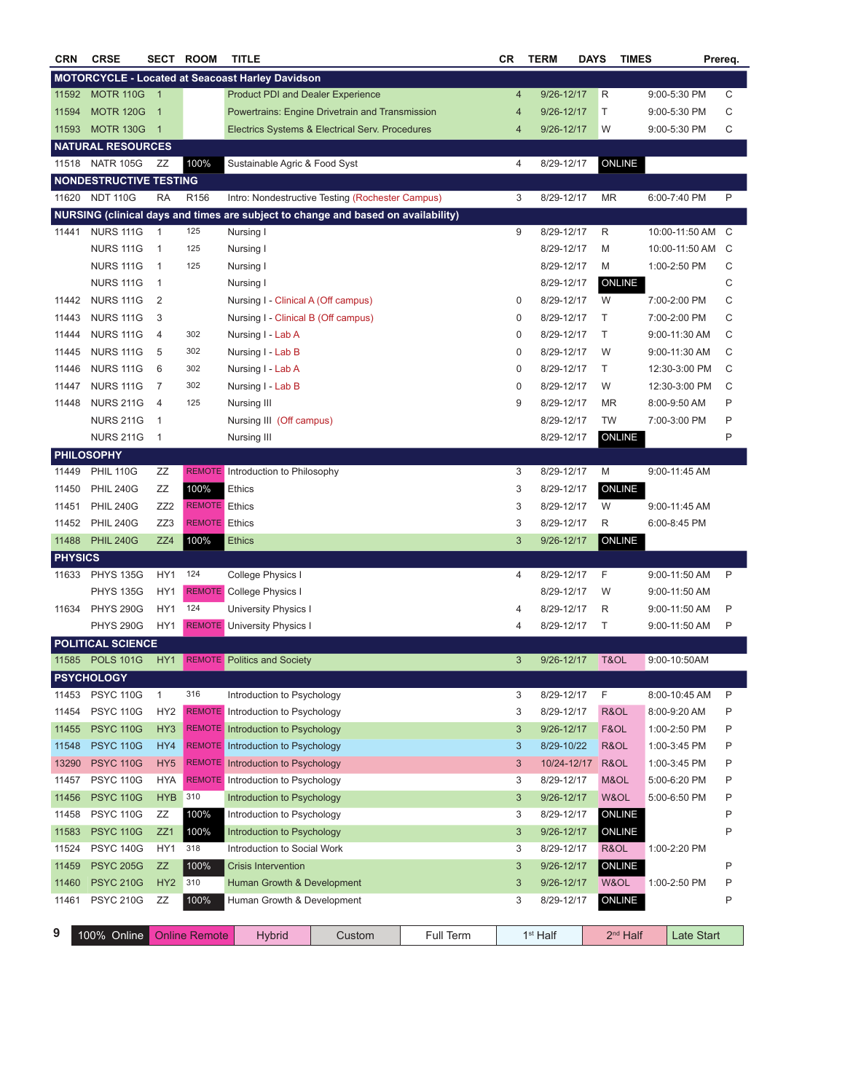| <b>CRN</b>     | <b>CRSE</b>                   | SECT                       | <b>ROOM</b>          | TITLE                                                   |                                                                                   |           | <b>CR</b>      | <b>TERM</b>          | <b>DAYS</b> | <b>TIMES</b>  |                | Prereq. |
|----------------|-------------------------------|----------------------------|----------------------|---------------------------------------------------------|-----------------------------------------------------------------------------------|-----------|----------------|----------------------|-------------|---------------|----------------|---------|
|                |                               |                            |                      | <b>MOTORCYCLE - Located at Seacoast Harley Davidson</b> |                                                                                   |           |                |                      |             |               |                |         |
| 11592          | <b>MOTR 110G</b>              | $\overline{1}$             |                      | <b>Product PDI and Dealer Experience</b>                |                                                                                   |           | $\overline{4}$ | 9/26-12/17           | R           |               | 9:00-5:30 PM   | С       |
| 11594          | <b>MOTR 120G</b>              | $\overline{1}$             |                      |                                                         | Powertrains: Engine Drivetrain and Transmission                                   |           | 4              | 9/26-12/17           | T.          |               | 9:00-5:30 PM   | С       |
| 11593          | <b>MOTR 130G</b>              | $\overline{\phantom{0}}$ 1 |                      |                                                         | Electrics Systems & Electrical Serv. Procedures                                   |           | 4              | 9/26-12/17           | W           |               | 9:00-5:30 PM   | С       |
|                | <b>NATURAL RESOURCES</b>      |                            |                      |                                                         |                                                                                   |           |                |                      |             |               |                |         |
| 11518          | <b>NATR 105G</b>              | ΖZ                         | 100%                 | Sustainable Agric & Food Syst                           |                                                                                   |           | 4              | 8/29-12/17           |             | <b>ONLINE</b> |                |         |
|                | <b>NONDESTRUCTIVE TESTING</b> |                            |                      |                                                         |                                                                                   |           |                |                      |             |               |                |         |
| 11620          | <b>NDT 110G</b>               | RA                         | R <sub>156</sub>     |                                                         | Intro: Nondestructive Testing (Rochester Campus)                                  |           | 3              | 8/29-12/17           |             | MR            | 6:00-7:40 PM   | P       |
|                |                               |                            |                      |                                                         | NURSING (clinical days and times are subject to change and based on availability) |           |                |                      |             |               |                |         |
| 11441          | <b>NURS 111G</b>              | $\overline{1}$             | 125                  | Nursing I                                               |                                                                                   |           | 9              | 8/29-12/17           | R           |               | 10:00-11:50 AM | C       |
|                | <b>NURS 111G</b>              | $\mathbf{1}$               | 125                  | Nursing I                                               |                                                                                   |           |                | 8/29-12/17           | M           |               | 10:00-11:50 AM | C       |
|                | <b>NURS 111G</b>              | $\mathbf{1}$               | 125                  | Nursing I                                               |                                                                                   |           |                | 8/29-12/17           | M           |               | 1:00-2:50 PM   | С       |
|                | <b>NURS 111G</b>              | $\mathbf{1}$               |                      | Nursing I                                               |                                                                                   |           |                | 8/29-12/17           |             | ONLINE        |                | С       |
| 11442          | <b>NURS 111G</b>              | 2                          |                      | Nursing I - Clinical A (Off campus)                     |                                                                                   |           | 0              | 8/29-12/17           | W           |               | 7:00-2:00 PM   | С       |
| 11443          | <b>NURS 111G</b>              | 3                          |                      | Nursing I - Clinical B (Off campus)                     |                                                                                   |           | 0              | 8/29-12/17           | Τ           |               | 7:00-2:00 PM   | С       |
| 11444          | <b>NURS 111G</b>              | $\overline{4}$             | 302                  | Nursing I - Lab A                                       |                                                                                   |           | 0              | 8/29-12/17           | Т           |               | 9:00-11:30 AM  | С       |
| 11445          | <b>NURS 111G</b>              | 5                          | 302                  | Nursing I - Lab B                                       |                                                                                   |           | $\bf 0$        | 8/29-12/17           | W           |               | 9:00-11:30 AM  | С       |
| 11446          | <b>NURS 111G</b>              | 6                          | 302                  | Nursing I - Lab A                                       |                                                                                   |           | 0              | 8/29-12/17           | Τ           |               | 12:30-3:00 PM  | С       |
| 11447          | <b>NURS 111G</b>              | $\overline{7}$             | 302                  | Nursing I - Lab B                                       |                                                                                   |           | 0              | 8/29-12/17           | W           |               | 12:30-3:00 PM  | С       |
| 11448          | <b>NURS 211G</b>              | $\overline{4}$             | 125                  | Nursing III                                             |                                                                                   |           | 9              | 8/29-12/17           |             | MR            | 8:00-9:50 AM   | P       |
|                | <b>NURS 211G</b>              | $\mathbf{1}$               |                      | Nursing III (Off campus)                                |                                                                                   |           |                | 8/29-12/17           |             | TW            | 7:00-3:00 PM   | Ρ       |
|                | <b>NURS 211G</b>              | $\mathbf{1}$               |                      | Nursing III                                             |                                                                                   |           |                | 8/29-12/17           |             | ONLINE        |                | Ρ       |
|                | <b>PHILOSOPHY</b>             |                            |                      |                                                         |                                                                                   |           |                |                      |             |               |                |         |
| 11449          | <b>PHIL 110G</b>              | ZΖ                         |                      | <b>REMOTE</b> Introduction to Philosophy                |                                                                                   |           | 3              | 8/29-12/17           | M           |               | 9:00-11:45 AM  |         |
| 11450          | <b>PHIL 240G</b>              | ZΖ                         | 100%                 | <b>Ethics</b>                                           |                                                                                   |           | 3              | 8/29-12/17           |             | ONLINE        |                |         |
| 11451          | <b>PHIL 240G</b>              | ZZ <sub>2</sub>            | <b>REMOTE</b> Ethics |                                                         |                                                                                   |           | 3              | 8/29-12/17           | W           |               | 9:00-11:45 AM  |         |
| 11452          | <b>PHIL 240G</b>              | ZZ3                        | <b>REMOTE</b> Ethics |                                                         |                                                                                   |           | 3              | 8/29-12/17           | R           |               | 6:00-8:45 PM   |         |
| 11488          | <b>PHIL 240G</b>              | ZZ4                        | 100%                 | Ethics                                                  |                                                                                   |           | 3              | 9/26-12/17           |             | ONLINE        |                |         |
| <b>PHYSICS</b> |                               |                            |                      |                                                         |                                                                                   |           |                |                      |             |               |                |         |
| 11633          | <b>PHYS 135G</b>              | HY1                        | 124                  | College Physics I                                       |                                                                                   |           | 4              | 8/29-12/17           | F           |               | 9:00-11:50 AM  | P       |
|                | <b>PHYS 135G</b>              | HY1                        |                      | <b>REMOTE</b> College Physics I                         |                                                                                   |           |                | 8/29-12/17           | W           |               | 9:00-11:50 AM  |         |
| 11634          | <b>PHYS 290G</b>              | HY1                        | 124                  | <b>University Physics I</b>                             |                                                                                   |           | 4              | 8/29-12/17           | R           |               | 9:00-11:50 AM  | P       |
|                | <b>PHYS 290G</b>              | HY1                        |                      | <b>REMOTE</b> University Physics I                      |                                                                                   |           | 4              | 8/29-12/17           | Τ           |               | 9:00-11:50 AM  | Ρ       |
|                | <b>POLITICAL SCIENCE</b>      |                            |                      |                                                         |                                                                                   |           |                |                      |             |               |                |         |
| 11585          | <b>POLS 101G</b>              | HY <sub>1</sub>            |                      | <b>REMOTE</b> Politics and Society                      |                                                                                   |           | 3              | 9/26-12/17           |             | T&OL          | 9:00-10:50AM   |         |
|                | <b>PSYCHOLOGY</b>             |                            |                      |                                                         |                                                                                   |           |                |                      |             |               |                |         |
| 11453          | <b>PSYC 110G</b>              | 1                          | 316                  | Introduction to Psychology                              |                                                                                   |           | 3              | 8/29-12/17           | F           |               | 8:00-10:45 AM  | P       |
| 11454          | <b>PSYC 110G</b>              | HY <sub>2</sub>            |                      | <b>REMOTE</b> Introduction to Psychology                |                                                                                   |           | 3              | 8/29-12/17           |             | R&OL          | 8:00-9:20 AM   | P       |
| 11455          | <b>PSYC 110G</b>              | HY <sub>3</sub>            |                      | <b>REMOTE</b> Introduction to Psychology                |                                                                                   |           | $\mathsf 3$    | 9/26-12/17           |             | F&OL          | 1:00-2:50 PM   | Ρ       |
| 11548          | <b>PSYC 110G</b>              | HY4                        |                      | REMOTE Introduction to Psychology                       |                                                                                   |           | 3              | 8/29-10/22           |             | R&OL          | 1:00-3:45 PM   | P       |
| 13290          | <b>PSYC 110G</b>              | HY <sub>5</sub>            |                      | <b>REMOTE</b> Introduction to Psychology                |                                                                                   |           | $\sqrt{3}$     | 10/24-12/17          |             | R&OL          | 1:00-3:45 PM   | P       |
| 11457          | <b>PSYC 110G</b>              | <b>HYA</b>                 |                      | <b>REMOTE</b> Introduction to Psychology                |                                                                                   |           | 3              | 8/29-12/17           |             | M&OL          | 5:00-6:20 PM   | P       |
| 11456          | <b>PSYC 110G</b>              | <b>HYB</b>                 | 310                  | Introduction to Psychology                              |                                                                                   |           | 3              | 9/26-12/17           |             | W&OL          | 5:00-6:50 PM   | P       |
| 11458          | <b>PSYC 110G</b>              | ZZ                         | 100%                 | Introduction to Psychology                              |                                                                                   |           | 3              | 8/29-12/17           |             | ONLINE        |                | P       |
| 11583          | <b>PSYC 110G</b>              | ZZ1                        | 100%                 | Introduction to Psychology                              |                                                                                   |           | 3              | 9/26-12/17           |             | ONLINE        |                | P       |
| 11524          | <b>PSYC 140G</b>              | HY1                        | 318                  | Introduction to Social Work                             |                                                                                   |           | 3              | 8/29-12/17           |             | R&OL          | 1:00-2:20 PM   |         |
| 11459          | <b>PSYC 205G</b>              | ZZ                         | 100%                 | <b>Crisis Intervention</b>                              |                                                                                   |           | $\mathbf{3}$   | 9/26-12/17           |             | <b>ONLINE</b> |                | P       |
| 11460          | <b>PSYC 210G</b>              | HY <sub>2</sub>            | 310                  | Human Growth & Development                              |                                                                                   |           | $\mathsf 3$    | 9/26-12/17           |             | W&OL          | 1:00-2:50 PM   | P       |
| 11461          | <b>PSYC 210G</b>              | ZΖ                         | 100%                 | Human Growth & Development                              |                                                                                   |           | 3              | 8/29-12/17           |             | ONLINE        |                | P       |
|                |                               |                            |                      |                                                         |                                                                                   |           |                |                      |             |               |                |         |
| 9              | 100% Online                   |                            | <b>Online Remote</b> | <b>Hybrid</b>                                           | Custom                                                                            | Full Term |                | 1 <sup>st</sup> Half |             | $2nd$ Half    | Late Start     |         |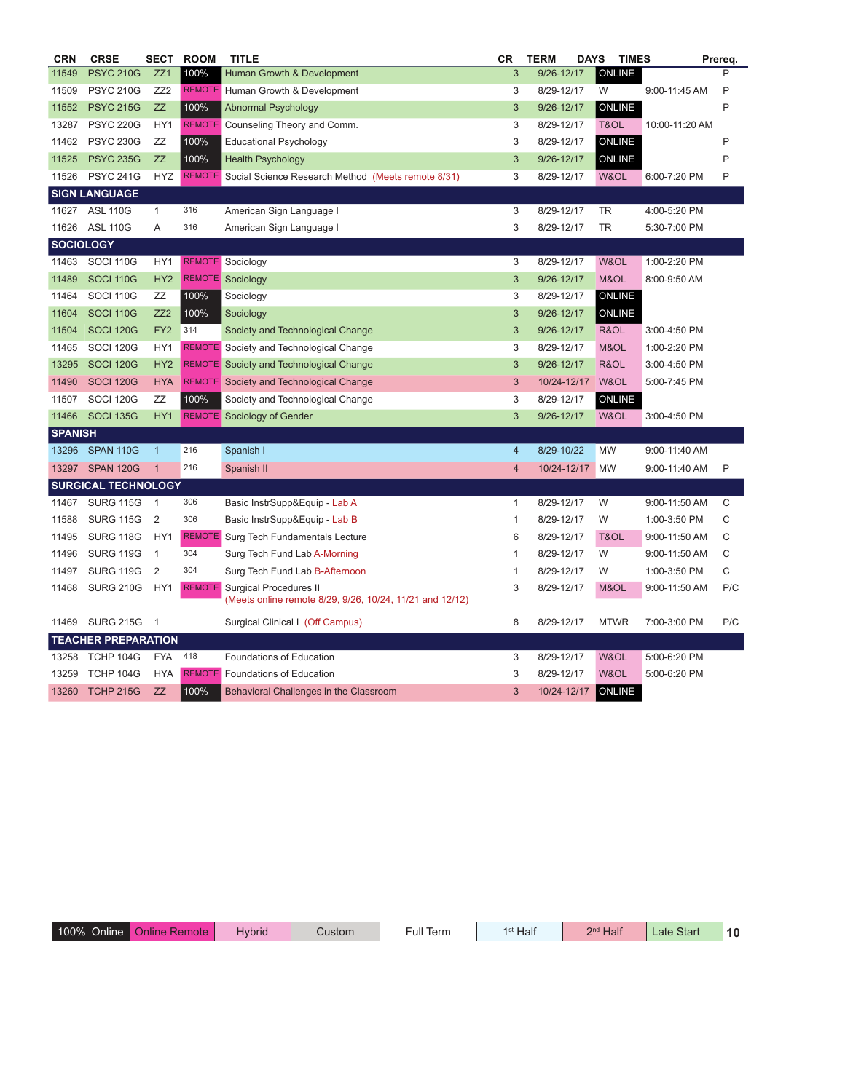| <b>CRN</b>       | <b>CRSE</b>                | SECT            | <b>ROOM</b>   | <b>TITLE</b>                                              | СR | <b>TERM</b> | <b>DAYS</b><br><b>TIMES</b> |                 | Prereq. |
|------------------|----------------------------|-----------------|---------------|-----------------------------------------------------------|----|-------------|-----------------------------|-----------------|---------|
| 11549            | <b>PSYC 210G</b>           | ZZ1             | 100%          | <b>Human Growth &amp; Development</b>                     | 3  | 9/26-12/17  | ONLINE                      |                 | P       |
| 11509            | <b>PSYC 210G</b>           | ZZ <sub>2</sub> |               | <b>REMOTE</b> Human Growth & Development                  | 3  | 8/29-12/17  | W                           | 9:00-11:45 AM   | P       |
| 11552            | <b>PSYC 215G</b>           | <b>ZZ</b>       | 100%          | <b>Abnormal Psychology</b>                                | 3  | 9/26-12/17  | <b>ONLINE</b>               |                 | P       |
| 13287            | <b>PSYC 220G</b>           | HY1             | <b>REMOTE</b> | Counseling Theory and Comm.                               | 3  | 8/29-12/17  | T&OL                        | 10:00-11:20 AM  |         |
| 11462            | <b>PSYC 230G</b>           | ZZ              | 100%          | <b>Educational Psychology</b>                             | 3  | 8/29-12/17  | <b>ONLINE</b>               |                 | P       |
| 11525            | <b>PSYC 235G</b>           | <b>ZZ</b>       | 100%          | <b>Health Psychology</b>                                  | 3  | 9/26-12/17  | ONLINE                      |                 | P       |
| 11526            | <b>PSYC 241G</b>           | <b>HYZ</b>      |               | REMOTE Social Science Research Method (Meets remote 8/31) | 3  | 8/29-12/17  | W&OL                        | 6:00-7:20 PM    | P       |
|                  | <b>SIGN LANGUAGE</b>       |                 |               |                                                           |    |             |                             |                 |         |
| 11627            | <b>ASL 110G</b>            | 1               | 316           | American Sign Language I                                  | 3  | 8/29-12/17  | TR                          | 4:00-5:20 PM    |         |
| 11626            | <b>ASL 110G</b>            | Α               | 316           | American Sign Language I                                  | 3  | 8/29-12/17  | <b>TR</b>                   | 5:30-7:00 PM    |         |
| <b>SOCIOLOGY</b> |                            |                 |               |                                                           |    |             |                             |                 |         |
| 11463            | <b>SOCI 110G</b>           | HY1             |               | <b>REMOTE</b> Sociology                                   | 3  | 8/29-12/17  | W&OL                        | 1:00-2:20 PM    |         |
| 11489            | <b>SOCI 110G</b>           | HY <sub>2</sub> |               | <b>REMOTE</b> Sociology                                   | 3  | 9/26-12/17  | M&OL                        | 8:00-9:50 AM    |         |
| 11464            | <b>SOCI 110G</b>           | ZZ              | 100%          | Sociology                                                 | 3  | 8/29-12/17  | <b>ONLINE</b>               |                 |         |
| 11604            | <b>SOCI 110G</b>           | ZZ2             | 100%          | Sociology                                                 | 3  | 9/26-12/17  | ONLINE                      |                 |         |
| 11504            | <b>SOCI 120G</b>           | FY <sub>2</sub> | 314           | Society and Technological Change                          | 3  | 9/26-12/17  | R&OL                        | 3:00-4:50 PM    |         |
| 11465            | <b>SOCI 120G</b>           | HY1             |               | <b>REMOTE</b> Society and Technological Change            | 3  | 8/29-12/17  | M&OL                        | 1:00-2:20 PM    |         |
| 13295            | <b>SOCI 120G</b>           | HY <sub>2</sub> |               | <b>REMOTE</b> Society and Technological Change            | 3  | 9/26-12/17  | R&OL                        | 3:00-4:50 PM    |         |
| 11490            | <b>SOCI 120G</b>           | <b>HYA</b>      |               | <b>REMOTE</b> Society and Technological Change            | 3  | 10/24-12/17 | W&OL                        | 5:00-7:45 PM    |         |
| 11507            | <b>SOCI 120G</b>           | ZZ              | 100%          | Society and Technological Change                          | 3  | 8/29-12/17  | ONLINE                      |                 |         |
| 11466            | <b>SOCI 135G</b>           | HY <sub>1</sub> |               | <b>REMOTE</b> Sociology of Gender                         | 3  | 9/26-12/17  | W&OL                        | 3:00-4:50 PM    |         |
| <b>SPANISH</b>   |                            |                 |               |                                                           |    |             |                             |                 |         |
| 13296            | SPAN 110G                  | $\mathbf{1}$    | 216           | Spanish I                                                 | 4  | 8/29-10/22  | MW                          | 9:00-11:40 AM   |         |
| 13297            | SPAN 120G                  | $\overline{1}$  | 216           | Spanish II                                                | 4  | 10/24-12/17 | <b>MW</b>                   | $9:00-11:40$ AM | P       |
|                  | <b>SURGICAL TECHNOLOGY</b> |                 |               |                                                           |    |             |                             |                 |         |
| 11467            | <b>SURG 115G</b>           | $\overline{1}$  | 306           | Basic InstrSupp&Equip - Lab A                             | 1  | 8/29-12/17  | W                           | 9:00-11:50 AM   | C       |
| 11588            | <b>SURG 115G</b>           | $\overline{2}$  | 306           | Basic InstrSupp&Equip - Lab B                             | 1  | 8/29-12/17  | W                           | 1:00-3:50 PM    | C       |
| 11495            | <b>SURG 118G</b>           | HY1             |               | <b>REMOTE</b> Surg Tech Fundamentals Lecture              | 6  | 8/29-12/17  | T&OL                        | 9:00-11:50 AM   | С       |
| 11496            | <b>SURG 119G</b>           | $\overline{1}$  | 304           | Surg Tech Fund Lab A-Morning                              | 1  | 8/29-12/17  | W                           | 9:00-11:50 AM   | C       |
| 11497            | <b>SURG 119G</b>           | $\overline{2}$  | 304           | Surg Tech Fund Lab B-Afternoon                            | 1  | 8/29-12/17  | W                           | 1:00-3:50 PM    | С       |
| 11468            | <b>SURG 210G</b>           | HY1             | <b>REMOTE</b> | <b>Surgical Procedures II</b>                             | 3  | 8/29-12/17  | M&OL                        | 9:00-11:50 AM   | P/C     |
|                  |                            |                 |               | (Meets online remote 8/29, 9/26, 10/24, 11/21 and 12/12)  |    |             |                             |                 |         |
| 11469            | <b>SURG 215G</b>           | -1              |               | Surgical Clinical I (Off Campus)                          | 8  | 8/29-12/17  | <b>MTWR</b>                 | 7:00-3:00 PM    | P/C     |
|                  | <b>TEACHER PREPARATION</b> |                 |               |                                                           |    |             |                             |                 |         |
| 13258            | TCHP 104G                  | <b>FYA</b>      | 418           | Foundations of Education                                  | 3  | 8/29-12/17  | W&OL                        | 5:00-6:20 PM    |         |
| 13259            | TCHP 104G                  | <b>HYA</b>      |               | <b>REMOTE</b> Foundations of Education                    | 3  | 8/29-12/17  | W&OL                        | 5:00-6:20 PM    |         |
| 13260            | <b>TCHP 215G</b>           | ZZ              | 100%          | Behavioral Challenges in the Classroom                    | 3  | 10/24-12/17 | <b>ONLINE</b>               |                 |         |

| 100%<br><b>Online</b><br>Remote<br>Online | Hvbrid<br>Custom | $-$ ull $-$<br>Term | <b>Pnd</b> Half<br>Half | Start<br>Late | $\overline{10}$ |
|-------------------------------------------|------------------|---------------------|-------------------------|---------------|-----------------|
|-------------------------------------------|------------------|---------------------|-------------------------|---------------|-----------------|